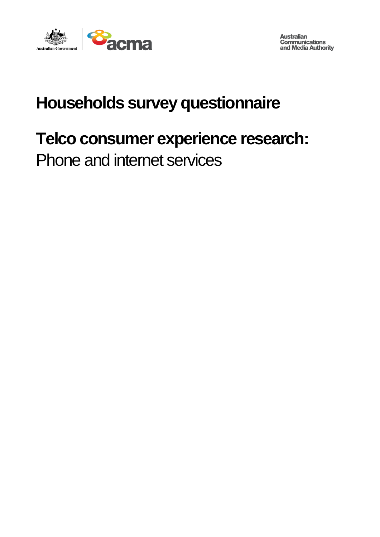

**Australian<br>Communications<br>and Media Authority** 

# **Households survey questionnaire**

# **Telco consumer experience research:**

Phone and internet services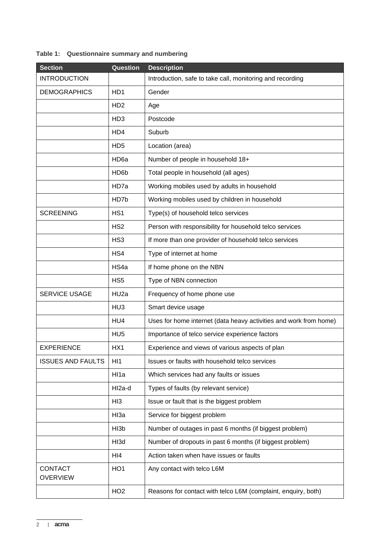#### **Table 1: Questionnaire summary and numbering**

| <b>Section</b>                    | Question                    | <b>Description</b>                                                |  |
|-----------------------------------|-----------------------------|-------------------------------------------------------------------|--|
| <b>INTRODUCTION</b>               |                             | Introduction, safe to take call, monitoring and recording         |  |
| <b>DEMOGRAPHICS</b>               | HD1                         | Gender                                                            |  |
|                                   | H <sub>D</sub> <sub>2</sub> | Age                                                               |  |
|                                   | HD <sub>3</sub>             | Postcode                                                          |  |
|                                   | HD4                         | Suburb                                                            |  |
|                                   | HD <sub>5</sub>             | Location (area)                                                   |  |
|                                   | HD <sub>6a</sub>            | Number of people in household 18+                                 |  |
|                                   | HD <sub>6</sub> b           | Total people in household (all ages)                              |  |
|                                   | HD7a                        | Working mobiles used by adults in household                       |  |
|                                   | HD7b                        | Working mobiles used by children in household                     |  |
| <b>SCREENING</b>                  | HS <sub>1</sub>             | Type(s) of household telco services                               |  |
|                                   | HS <sub>2</sub>             | Person with responsibility for household telco services           |  |
|                                   | HS <sub>3</sub>             | If more than one provider of household telco services             |  |
|                                   | HS4                         | Type of internet at home                                          |  |
|                                   | HS4a                        | If home phone on the NBN                                          |  |
|                                   | HS <sub>5</sub>             | Type of NBN connection                                            |  |
| SERVICE USAGE                     | HU <sub>2a</sub>            | Frequency of home phone use                                       |  |
|                                   | HU <sub>3</sub>             | Smart device usage                                                |  |
|                                   | HU4                         | Uses for home internet (data heavy activities and work from home) |  |
|                                   | HU <sub>5</sub>             | Importance of telco service experience factors                    |  |
| <b>EXPERIENCE</b>                 | HX1                         | Experience and views of various aspects of plan                   |  |
| <b>ISSUES AND FAULTS</b>          | HI <sub>1</sub>             | Issues or faults with household telco services                    |  |
|                                   | HI1a                        | Which services had any faults or issues                           |  |
|                                   | HI2a-d                      | Types of faults (by relevant service)                             |  |
|                                   | HI3                         | Issue or fault that is the biggest problem                        |  |
|                                   | HI3a                        | Service for biggest problem                                       |  |
|                                   | HI3b                        | Number of outages in past 6 months (if biggest problem)           |  |
|                                   | HI3d                        | Number of dropouts in past 6 months (if biggest problem)          |  |
|                                   | HI4                         | Action taken when have issues or faults                           |  |
| <b>CONTACT</b><br><b>OVERVIEW</b> | HO <sub>1</sub>             | Any contact with telco L6M                                        |  |
|                                   | HO <sub>2</sub>             | Reasons for contact with telco L6M (complaint, enquiry, both)     |  |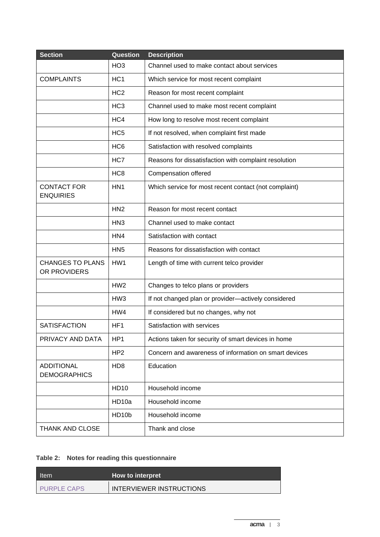| <b>Section</b>                           | Question          | <b>Description</b>                                    |  |
|------------------------------------------|-------------------|-------------------------------------------------------|--|
|                                          | HO <sub>3</sub>   | Channel used to make contact about services           |  |
| <b>COMPLAINTS</b>                        | HC <sub>1</sub>   | Which service for most recent complaint               |  |
|                                          | HC <sub>2</sub>   | Reason for most recent complaint                      |  |
|                                          | HC <sub>3</sub>   | Channel used to make most recent complaint            |  |
|                                          | HC4               | How long to resolve most recent complaint             |  |
|                                          | HC <sub>5</sub>   | If not resolved, when complaint first made            |  |
|                                          | HC <sub>6</sub>   | Satisfaction with resolved complaints                 |  |
|                                          | HC7               | Reasons for dissatisfaction with complaint resolution |  |
|                                          | HC <sub>8</sub>   | Compensation offered                                  |  |
| <b>CONTACT FOR</b><br><b>ENQUIRIES</b>   | HN <sub>1</sub>   | Which service for most recent contact (not complaint) |  |
|                                          | HN <sub>2</sub>   | Reason for most recent contact                        |  |
|                                          | HN <sub>3</sub>   | Channel used to make contact                          |  |
|                                          | HN4               | Satisfaction with contact                             |  |
|                                          | HN <sub>5</sub>   | Reasons for dissatisfaction with contact              |  |
| <b>CHANGES TO PLANS</b><br>OR PROVIDERS  | HW1               | Length of time with current telco provider            |  |
|                                          | HW <sub>2</sub>   | Changes to telco plans or providers                   |  |
|                                          | HW <sub>3</sub>   | If not changed plan or provider-actively considered   |  |
|                                          | HW4               | If considered but no changes, why not                 |  |
| <b>SATISFACTION</b>                      | HF <sub>1</sub>   | Satisfaction with services                            |  |
| PRIVACY AND DATA                         | HP1               | Actions taken for security of smart devices in home   |  |
|                                          | HP <sub>2</sub>   | Concern and awareness of information on smart devices |  |
| <b>ADDITIONAL</b><br><b>DEMOGRAPHICS</b> | HD <sub>8</sub>   | Education                                             |  |
|                                          | <b>HD10</b>       | Household income                                      |  |
|                                          | HD <sub>10a</sub> | Household income                                      |  |
|                                          | HD10b             | Household income                                      |  |
| THANK AND CLOSE                          |                   | Thank and close                                       |  |

## **Table 2: Notes for reading this questionnaire**

| Item               | How to interpret         |  |
|--------------------|--------------------------|--|
| <b>PURPLE CAPS</b> | INTERVIEWER INSTRUCTIONS |  |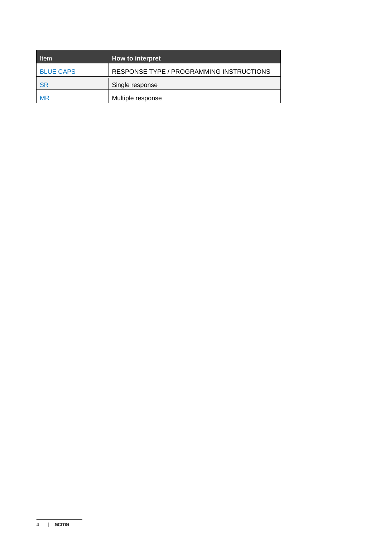| <b>Item</b>      | How to interpret                         |
|------------------|------------------------------------------|
| <b>BLUE CAPS</b> | RESPONSE TYPE / PROGRAMMING INSTRUCTIONS |
| <b>SR</b>        | Single response                          |
| <b>MR</b>        | Multiple response                        |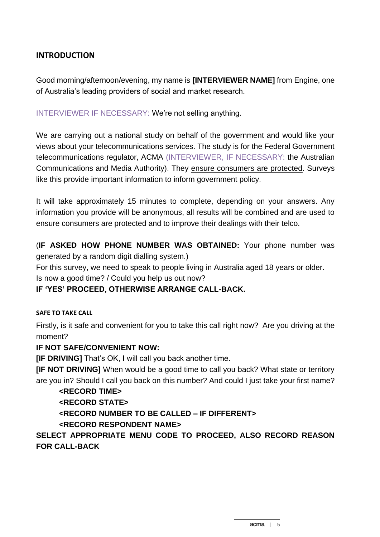## **INTRODUCTION**

Good morning/afternoon/evening, my name is **[INTERVIEWER NAME]** from Engine, one of Australia's leading providers of social and market research.

INTERVIEWER IF NECESSARY: We're not selling anything.

We are carrying out a national study on behalf of the government and would like your views about your telecommunications services. The study is for the Federal Government telecommunications regulator, ACMA (INTERVIEWER, IF NECESSARY: the Australian Communications and Media Authority). They ensure consumers are protected. Surveys like this provide important information to inform government policy.

It will take approximately 15 minutes to complete, depending on your answers. Any information you provide will be anonymous, all results will be combined and are used to ensure consumers are protected and to improve their dealings with their telco.

(**IF ASKED HOW PHONE NUMBER WAS OBTAINED:** Your phone number was generated by a random digit dialling system.)

For this survey, we need to speak to people living in Australia aged 18 years or older. Is now a good time? / Could you help us out now?

#### **IF 'YES' PROCEED, OTHERWISE ARRANGE CALL-BACK.**

#### **SAFE TO TAKE CALL**

Firstly, is it safe and convenient for you to take this call right now? Are you driving at the moment?

#### **IF NOT SAFE/CONVENIENT NOW:**

**[IF DRIVING]** That's OK, I will call you back another time.

**[IF NOT DRIVING]** When would be a good time to call you back? What state or territory are you in? Should I call you back on this number? And could I just take your first name?

#### **<RECORD TIME>**

#### **<RECORD STATE>**

**<RECORD NUMBER TO BE CALLED – IF DIFFERENT>**

**<RECORD RESPONDENT NAME>**

**SELECT APPROPRIATE MENU CODE TO PROCEED, ALSO RECORD REASON FOR CALL-BACK**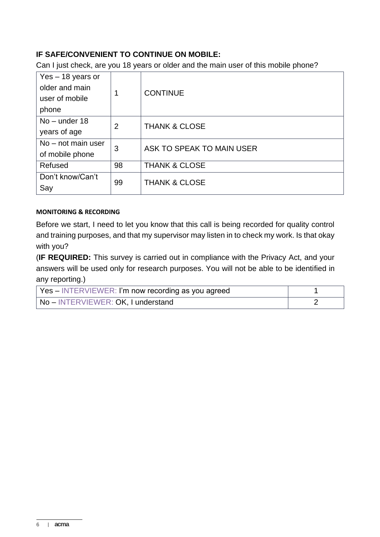## **IF SAFE/CONVENIENT TO CONTINUE ON MOBILE:**

Can I just check, are you 18 years or older and the main user of this mobile phone?

| Yes - 18 years or<br>older and main<br>user of mobile<br>phone |                | <b>CONTINUE</b>           |  |
|----------------------------------------------------------------|----------------|---------------------------|--|
| $No$ – under 18<br>years of age                                | $\overline{2}$ | <b>THANK &amp; CLOSE</b>  |  |
| $No$ – not main user<br>of mobile phone                        | 3              | ASK TO SPEAK TO MAIN USER |  |
| Refused                                                        | 98             | <b>THANK &amp; CLOSE</b>  |  |
| Don't know/Can't<br>Say                                        | 99             | <b>THANK &amp; CLOSE</b>  |  |

#### **MONITORING & RECORDING**

Before we start, I need to let you know that this call is being recorded for quality control and training purposes, and that my supervisor may listen in to check my work. Is that okay with you?

(**IF REQUIRED:** This survey is carried out in compliance with the Privacy Act, and your answers will be used only for research purposes. You will not be able to be identified in any reporting.)

| Yes – INTERVIEWER: I'm now recording as you agreed |  |
|----------------------------------------------------|--|
| No - INTERVIEWER: OK, I understand                 |  |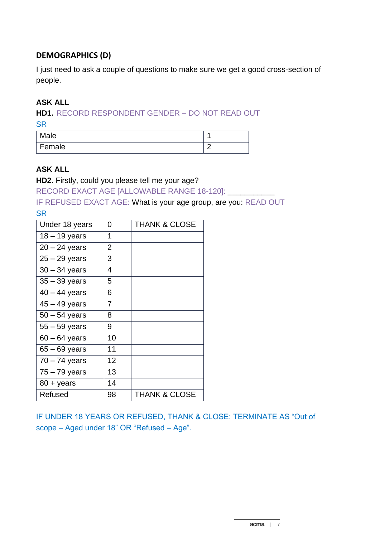## **DEMOGRAPHICS (D)**

I just need to ask a couple of questions to make sure we get a good cross-section of people.

## **ASK ALL**

**HD1.** RECORD RESPONDENT GENDER – DO NOT READ OUT **SR** 

| Male     |   |
|----------|---|
| ' Female | r |

#### **ASK ALL**

**HD2**. Firstly, could you please tell me your age?

RECORD EXACT AGE [ALLOWABLE RANGE 18-120]: \_\_\_\_\_\_\_\_\_\_\_

IF REFUSED EXACT AGE: What is your age group, are you: READ OUT **SR** 

| Under 18 years      | 0  | <b>THANK &amp; CLOSE</b> |
|---------------------|----|--------------------------|
| $18 - 19$ years     | 1  |                          |
| $20 - 24$ years     | 2  |                          |
| $25 - 29$ years     | 3  |                          |
| $30 - 34$ years     | 4  |                          |
| $35 - 39$ years     | 5  |                          |
| $40 - 44$ years     | 6  |                          |
| $45 - 49$ years     | 7  |                          |
| $50 - 54$ years     | 8  |                          |
| $55 - 59$ years     | 9  |                          |
| $60 - 64$ years     | 10 |                          |
| $65 - 69$ years     | 11 |                          |
| $70 - 74$ years     | 12 |                          |
| $75 - 79$ years     | 13 |                          |
| $80 + \text{years}$ | 14 |                          |
| Refused             | 98 | <b>THANK &amp; CLOSE</b> |

IF UNDER 18 YEARS OR REFUSED, THANK & CLOSE: TERMINATE AS "Out of scope – Aged under 18" OR "Refused – Age".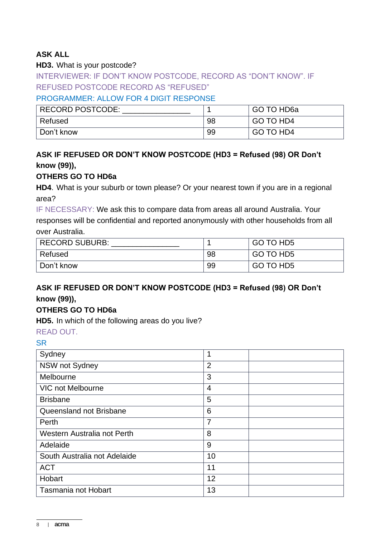## **ASK ALL**

#### **HD3.** What is your postcode?

INTERVIEWER: IF DON'T KNOW POSTCODE, RECORD AS "DON'T KNOW". IF REFUSED POSTCODE RECORD AS "REFUSED"

#### PROGRAMMER: ALLOW FOR 4 DIGIT RESPONSE

| <b>RECORD POSTCODE:</b> |    | GO TO HD6a |
|-------------------------|----|------------|
| Refused                 | 98 | GO TO HD4  |
| Don't know              | 99 | GO TO HD4  |

# **ASK IF REFUSED OR DON'T KNOW POSTCODE (HD3 = Refused (98) OR Don't know (99)),**

#### **OTHERS GO TO HD6a**

**HD4**. What is your suburb or town please? Or your nearest town if you are in a regional area?

IF NECESSARY: We ask this to compare data from areas all around Australia. Your responses will be confidential and reported anonymously with other households from all over Australia.

| <b>RECORD SUBURB:</b> |    | GO TO HD5 |
|-----------------------|----|-----------|
| Refused               | 98 | GO TO HD5 |
| Don't know            | 99 | GO TO HD5 |

# **ASK IF REFUSED OR DON'T KNOW POSTCODE (HD3 = Refused (98) OR Don't know (99)),**

## **OTHERS GO TO HD6a**

**HD5.** In which of the following areas do you live?

#### READ OUT.

| Sydney                       |                |  |
|------------------------------|----------------|--|
| NSW not Sydney               | $\overline{2}$ |  |
| Melbourne                    | 3              |  |
| <b>VIC not Melbourne</b>     | $\overline{4}$ |  |
| <b>Brisbane</b>              | 5              |  |
| Queensland not Brisbane      | 6              |  |
| Perth                        | 7              |  |
| Western Australia not Perth  | 8              |  |
| Adelaide                     | 9              |  |
| South Australia not Adelaide | 10             |  |
| <b>ACT</b>                   | 11             |  |
| Hobart                       | 12             |  |
| <b>Tasmania not Hobart</b>   | 13             |  |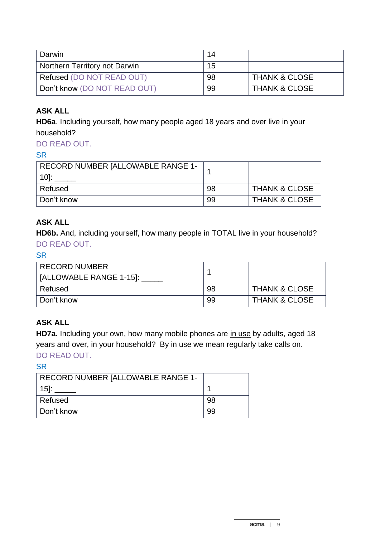| Darwin                        | 14 |                          |
|-------------------------------|----|--------------------------|
| Northern Territory not Darwin | 15 |                          |
| Refused (DO NOT READ OUT)     | 98 | <b>THANK &amp; CLOSE</b> |
| Don't know (DO NOT READ OUT)  | 99 | <b>THANK &amp; CLOSE</b> |

# **ASK ALL**

**HD6a**. Including yourself, how many people aged 18 years and over live in your household?

# DO READ OUT.

#### **SR**

| RECORD NUMBER [ALLOWABLE RANGE 1- |    |                          |
|-----------------------------------|----|--------------------------|
| Refused                           | 98 | <b>THANK &amp; CLOSE</b> |
| Don't know                        | 99 | <b>THANK &amp; CLOSE</b> |

## **ASK ALL**

**HD6b.** And, including yourself, how many people in TOTAL live in your household? DO READ OUT.

#### **SR**

| <b>RECORD NUMBER</b>    |     |                          |
|-------------------------|-----|--------------------------|
| [ALLOWABLE RANGE 1-15]: |     |                          |
| Refused                 | -98 | <b>THANK &amp; CLOSE</b> |
| Don't know              | 99  | <b>THANK &amp; CLOSE</b> |

## **ASK ALL**

HD7a. Including your own, how many mobile phones are in use by adults, aged 18 years and over, in your household? By in use we mean regularly take calls on. DO READ OUT.

| RECORD NUMBER [ALLOWABLE RANGE 1- |    |
|-----------------------------------|----|
| <b>151:</b>                       |    |
| Refused                           | 98 |
| Don't know                        | 99 |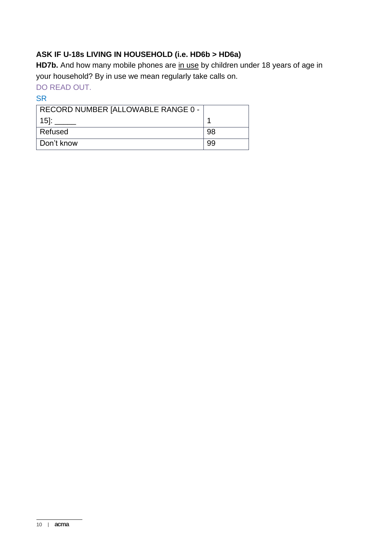## **ASK IF U-18s LIVING IN HOUSEHOLD (i.e. HD6b > HD6a)**

**HD7b.** And how many mobile phones are in use by children under 18 years of age in your household? By in use we mean regularly take calls on.

## DO READ OUT.

| RECORD NUMBER [ALLOWABLE RANGE 0 - |    |
|------------------------------------|----|
| $15$ :                             |    |
| Refused                            | 98 |
| ∣ Don't know                       | 99 |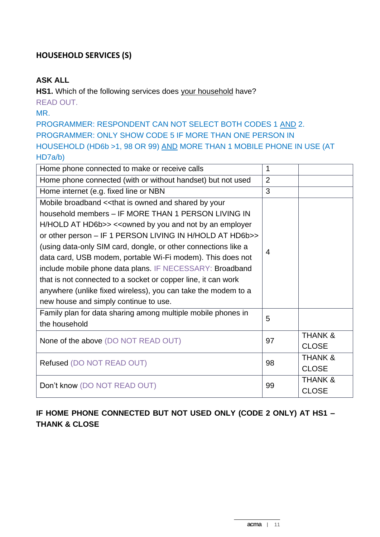## **HOUSEHOLD SERVICES (S)**

#### **ASK ALL**

**HS1.** Which of the following services does your household have? READ OUT.

MR.

PROGRAMMER: RESPONDENT CAN NOT SELECT BOTH CODES 1 AND 2. PROGRAMMER: ONLY SHOW CODE 5 IF MORE THAN ONE PERSON IN HOUSEHOLD (HD6b >1, 98 OR 99) AND MORE THAN 1 MOBILE PHONE IN USE (AT HD7a/b)

| Home phone connected to make or receive calls                  | 1  |                    |
|----------------------------------------------------------------|----|--------------------|
| Home phone connected (with or without handset) but not used    | 2  |                    |
| Home internet (e.g. fixed line or NBN                          | 3  |                    |
| Mobile broadband << that is owned and shared by your           |    |                    |
| household members - IF MORE THAN 1 PERSON LIVING IN            |    |                    |
| H/HOLD AT HD6b>> << owned by you and not by an employer        |    |                    |
| or other person - IF 1 PERSON LIVING IN H/HOLD AT HD6b>>       |    |                    |
| (using data-only SIM card, dongle, or other connections like a | 4  |                    |
| data card, USB modem, portable Wi-Fi modem). This does not     |    |                    |
| include mobile phone data plans. IF NECESSARY: Broadband       |    |                    |
| that is not connected to a socket or copper line, it can work  |    |                    |
| anywhere (unlike fixed wireless), you can take the modem to a  |    |                    |
| new house and simply continue to use.                          |    |                    |
| Family plan for data sharing among multiple mobile phones in   | 5  |                    |
| the household                                                  |    |                    |
| None of the above (DO NOT READ OUT)                            | 97 | <b>THANK &amp;</b> |
|                                                                |    | <b>CLOSE</b>       |
| Refused (DO NOT READ OUT)                                      |    | <b>THANK &amp;</b> |
|                                                                |    | <b>CLOSE</b>       |
| Don't know (DO NOT READ OUT)                                   |    | <b>THANK &amp;</b> |
|                                                                |    | <b>CLOSE</b>       |

# **IF HOME PHONE CONNECTED BUT NOT USED ONLY (CODE 2 ONLY) AT HS1 – THANK & CLOSE**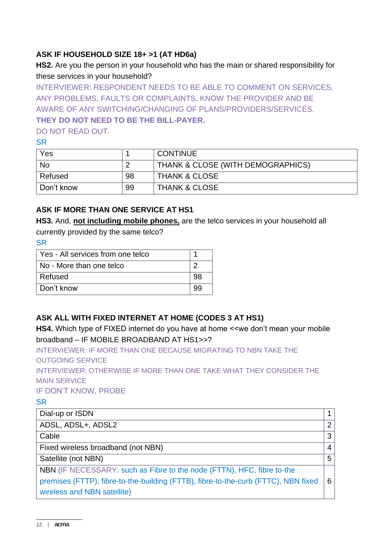## **ASK IF HOUSEHOLD SIZE 18+ >1 (AT HD6a)**

**HS2.** Are you the person in your household who has the main or shared responsibility for these services in your household?

INTERVIEWER: RESPONDENT NEEDS TO BE ABLE TO COMMENT ON SERVICES, ANY PROBLEMS, FAULTS OR COMPLAINTS, KNOW THE PROVIDER AND BE AWARE OF ANY SWITCHING/CHANGING OF PLANS/PROVIDERS/SERVICES.

#### **THEY DO NOT NEED TO BE THE BILL-PAYER.**

DO NOT READ OUT.

#### SR

| Yes        |    | <b>CONTINUE</b>                   |
|------------|----|-----------------------------------|
| <b>No</b>  |    | THANK & CLOSE (WITH DEMOGRAPHICS) |
| Refused    | 98 | <b>THANK &amp; CLOSE</b>          |
| Don't know | 99 | <b>THANK &amp; CLOSE</b>          |

## **ASK IF MORE THAN ONE SERVICE AT HS1**

**HS3.** And, **not including mobile phones,** are the telco services in your household all

currently provided by the same telco?

**SR** 

| Yes - All services from one telco |    |
|-----------------------------------|----|
| No - More than one telco          |    |
| Refused                           | 98 |
| Don't know                        |    |

# **ASK ALL WITH FIXED INTERNET AT HOME (CODES 3 AT HS1)**

**HS4.** Which type of FIXED internet do you have at home <<we don't mean your mobile broadband – IF MOBILE BROADBAND AT HS1>>?

INTERVIEWER: IF MORE THAN ONE BECAUSE MIGRATING TO NBN TAKE THE OUTGOING SERVICE

INTERVIEWER: OTHERWISE IF MORE THAN ONE TAKE WHAT THEY CONSIDER THE MAIN SERVICE

IF DON'T KNOW, PROBE

| Dial-up or ISDN                                                                    |                |
|------------------------------------------------------------------------------------|----------------|
| ADSL, ADSL+, ADSL2                                                                 | $\overline{2}$ |
| Cable                                                                              | 3              |
| Fixed wireless broadband (not NBN)                                                 | 4              |
| Satellite (not NBN)                                                                | 5              |
| NBN (IF NECESSARY: such as Fibre to the node (FTTN), HFC, fibre to-the             |                |
| premises (FTTP), fibre-to-the-building (FTTB), fibre-to-the-curb (FTTC), NBN fixed | 6              |
| wireless and NBN satellite)                                                        |                |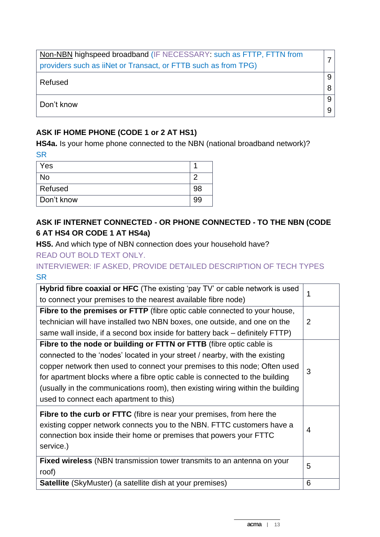| Non-NBN highspeed broadband (IF NECESSARY: such as FTTP, FTTN from |   |
|--------------------------------------------------------------------|---|
| providers such as iiNet or Transact, or FTTB such as from TPG)     |   |
| Refused                                                            | 9 |
|                                                                    |   |
| Don't know                                                         | 9 |
|                                                                    |   |

## **ASK IF HOME PHONE (CODE 1 or 2 AT HS1)**

**HS4a.** Is your home phone connected to the NBN (national broadband network)? **SR** 

| Yes        |    |
|------------|----|
| <b>No</b>  |    |
| Refused    | 98 |
| Don't know |    |

# **ASK IF INTERNET CONNECTED - OR PHONE CONNECTED - TO THE NBN (CODE 6 AT HS4 OR CODE 1 AT HS4a)**

**HS5.** And which type of NBN connection does your household have?

READ OUT BOLD TEXT ONLY.

INTERVIEWER: IF ASKED, PROVIDE DETAILED DESCRIPTION OF TECH TYPES **SR** 

| Hybrid fibre coaxial or HFC (The existing 'pay TV' or cable network is used                                                                                                                                                               | 1 |
|-------------------------------------------------------------------------------------------------------------------------------------------------------------------------------------------------------------------------------------------|---|
| to connect your premises to the nearest available fibre node)                                                                                                                                                                             |   |
| Fibre to the premises or FTTP (fibre optic cable connected to your house,                                                                                                                                                                 |   |
| technician will have installed two NBN boxes, one outside, and one on the                                                                                                                                                                 | 2 |
| same wall inside, if a second box inside for battery back – definitely FTTP)                                                                                                                                                              |   |
| Fibre to the node or building or FTTN or FTTB (fibre optic cable is                                                                                                                                                                       |   |
| connected to the 'nodes' located in your street / nearby, with the existing                                                                                                                                                               |   |
| copper network then used to connect your premises to this node; Often used                                                                                                                                                                | 3 |
| for apartment blocks where a fibre optic cable is connected to the building                                                                                                                                                               |   |
| (usually in the communications room), then existing wiring within the building                                                                                                                                                            |   |
| used to connect each apartment to this)                                                                                                                                                                                                   |   |
| <b>Fibre to the curb or FTTC</b> (fibre is near your premises, from here the<br>existing copper network connects you to the NBN. FTTC customers have a<br>connection box inside their home or premises that powers your FTTC<br>service.) | 4 |
| Fixed wireless (NBN transmission tower transmits to an antenna on your                                                                                                                                                                    | 5 |
| roof)                                                                                                                                                                                                                                     |   |
| <b>Satellite</b> (SkyMuster) (a satellite dish at your premises)                                                                                                                                                                          | 6 |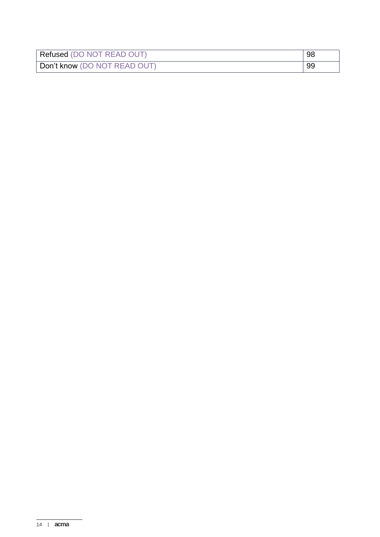| Refused (DO NOT READ OUT)    | 98 |
|------------------------------|----|
| Don't know (DO NOT READ OUT) | 99 |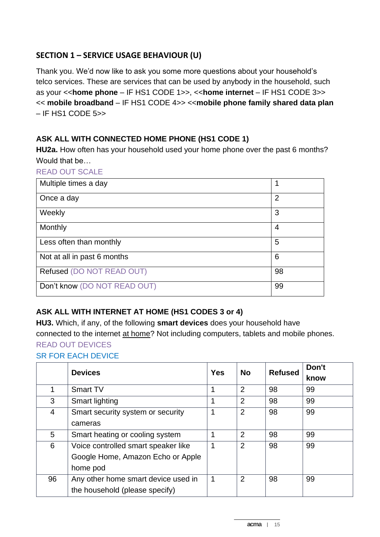# **SECTION 1 – SERVICE USAGE BEHAVIOUR (U)**

Thank you. We'd now like to ask you some more questions about your household's telco services. These are services that can be used by anybody in the household, such as your <<**home phone** – IF HS1 CODE 1>>, <<**home internet** – IF HS1 CODE 3>> << **mobile broadband** – IF HS1 CODE 4>> <<**mobile phone family shared data plan**  – IF HS1 CODE 5>>

## **ASK ALL WITH CONNECTED HOME PHONE (HS1 CODE 1)**

**HU2a.** How often has your household used your home phone over the past 6 months? Would that be…

#### READ OUT SCALE

| Multiple times a day         | 1              |
|------------------------------|----------------|
| Once a day                   | $\overline{2}$ |
| Weekly                       | 3              |
| Monthly                      | 4              |
| Less often than monthly      | 5              |
| Not at all in past 6 months  | 6              |
| Refused (DO NOT READ OUT)    | 98             |
| Don't know (DO NOT READ OUT) | 99             |

# **ASK ALL WITH INTERNET AT HOME (HS1 CODES 3 or 4)**

**HU3.** Which, if any, of the following **smart devices** does your household have connected to the internet at home? Not including computers, tablets and mobile phones. READ OUT DEVICES

#### SR FOR EACH DEVICE

|    | <b>Devices</b>                      | <b>Yes</b> | <b>No</b>      | <b>Refused</b> | Don't |
|----|-------------------------------------|------------|----------------|----------------|-------|
|    |                                     |            |                |                | know  |
|    | <b>Smart TV</b>                     |            | $\overline{2}$ | 98             | 99    |
| 3  | Smart lighting                      |            | $\overline{2}$ | 98             | 99    |
| 4  | Smart security system or security   |            | $\overline{2}$ | 98             | 99    |
|    | cameras                             |            |                |                |       |
| 5  | Smart heating or cooling system     |            | $\overline{2}$ | 98             | 99    |
| 6  | Voice controlled smart speaker like |            | $\overline{2}$ | 98             | 99    |
|    | Google Home, Amazon Echo or Apple   |            |                |                |       |
|    | home pod                            |            |                |                |       |
| 96 | Any other home smart device used in | 1          | $\overline{2}$ | 98             | 99    |
|    | the household (please specify)      |            |                |                |       |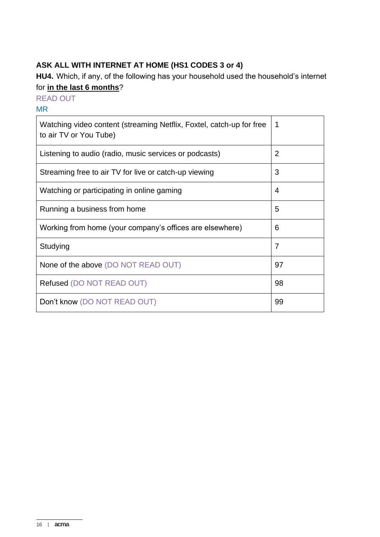# **ASK ALL WITH INTERNET AT HOME (HS1 CODES 3 or 4)**

**HU4.** Which, if any, of the following has your household used the household's internet for **in the last 6 months**?

READ OUT

#### MR

| Watching video content (streaming Netflix, Foxtel, catch-up for free<br>to air TV or You Tube) | 1              |
|------------------------------------------------------------------------------------------------|----------------|
| Listening to audio (radio, music services or podcasts)                                         | $\overline{2}$ |
| Streaming free to air TV for live or catch-up viewing                                          | 3              |
| Watching or participating in online gaming                                                     | 4              |
| Running a business from home                                                                   | 5              |
| Working from home (your company's offices are elsewhere)                                       | 6              |
| Studying                                                                                       | $\overline{7}$ |
| None of the above (DO NOT READ OUT)                                                            | 97             |
| Refused (DO NOT READ OUT)                                                                      | 98             |
| Don't know (DO NOT READ OUT)                                                                   | 99             |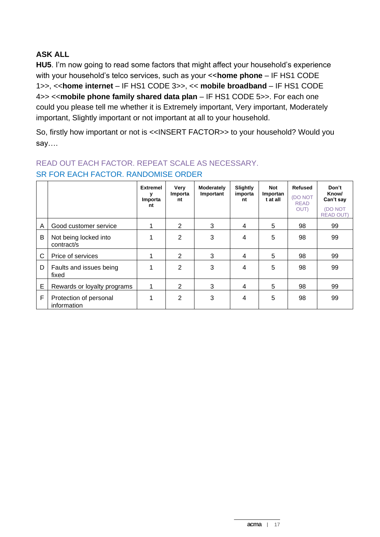## **ASK ALL**

**HU5**. I'm now going to read some factors that might affect your household's experience with your household's telco services, such as your <<**home phone** – IF HS1 CODE 1>>, <<**home internet** – IF HS1 CODE 3>>, << **mobile broadband** – IF HS1 CODE 4>> <<**mobile phone family shared data plan** – IF HS1 CODE 5>>. For each one could you please tell me whether it is Extremely important, Very important, Moderately important, Slightly important or not important at all to your household.

So, firstly how important or not is <<INSERT FACTOR>> to your household? Would you say….

|   |                                       | <b>Extremel</b><br>Importa<br>nt | Very<br>Importa<br>nt | Moderately<br>Important | Slightly<br>importa<br>nt | Not<br>Importan<br>t at all | Refused<br><b>DO NOT</b><br><b>READ</b><br>OUT) | Don't<br>Know/<br>Can't say<br>(DO NOT<br><b>READ OUT</b> |
|---|---------------------------------------|----------------------------------|-----------------------|-------------------------|---------------------------|-----------------------------|-------------------------------------------------|-----------------------------------------------------------|
| A | Good customer service                 |                                  | $\overline{2}$        | 3                       | 4                         | 5                           | 98                                              | 99                                                        |
| B | Not being locked into<br>contract/s   |                                  | 2                     | 3                       | 4                         | 5                           | 98                                              | 99                                                        |
| C | Price of services                     |                                  | $\overline{2}$        | 3                       | 4                         | 5                           | 98                                              | 99                                                        |
| D | Faults and issues being<br>fixed      |                                  | 2                     | 3                       | 4                         | 5                           | 98                                              | 99                                                        |
| E | Rewards or loyalty programs           |                                  | $\overline{2}$        | 3                       | 4                         | 5                           | 98                                              | 99                                                        |
| F | Protection of personal<br>information | 1                                | 2                     | 3                       | 4                         | 5                           | 98                                              | 99                                                        |

#### READ OUT EACH FACTOR. REPEAT SCALE AS NECESSARY. SR FOR EACH FACTOR. RANDOMISE ORDER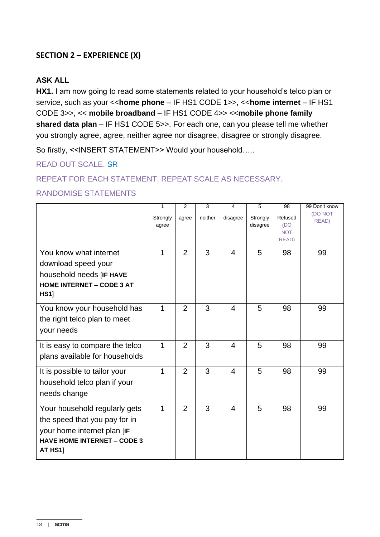# **SECTION 2 – EXPERIENCE (X)**

#### **ASK ALL**

**HX1.** I am now going to read some statements related to your household's telco plan or service, such as your <<**home phone** – IF HS1 CODE 1>>, <<**home internet** – IF HS1 CODE 3>>, << **mobile broadband** – IF HS1 CODE 4>> <<**mobile phone family shared data plan** – IF HS1 CODE 5>>. For each one, can you please tell me whether you strongly agree, agree, neither agree nor disagree, disagree or strongly disagree.

So firstly, <<INSERT STATEMENT>> Would your household…..

READ OUT SCALE. SR

REPEAT FOR EACH STATEMENT. REPEAT SCALE AS NECESSARY.

#### RANDOMISE STATEMENTS

|                                                                                                                                                | 1                 | 2              | 3       | 4              | 5                    | 98                                    | 99 Don't know           |
|------------------------------------------------------------------------------------------------------------------------------------------------|-------------------|----------------|---------|----------------|----------------------|---------------------------------------|-------------------------|
|                                                                                                                                                | Strongly<br>agree | agree          | neither | disagree       | Strongly<br>disagree | Refused<br>(DO<br><b>NOT</b><br>READ) | <b>(DO NOT</b><br>READ) |
| You know what internet<br>download speed your<br>household needs [IF HAVE<br><b>HOME INTERNET - CODE 3 AT</b><br>HS1                           | 1                 | 2              | 3       | 4              | 5                    | 98                                    | 99                      |
| You know your household has<br>the right telco plan to meet<br>your needs                                                                      | $\mathbf 1$       | $\overline{2}$ | 3       | $\overline{4}$ | 5                    | 98                                    | 99                      |
| It is easy to compare the telco<br>plans available for households                                                                              | 1                 | 2              | 3       | $\overline{4}$ | 5                    | 98                                    | 99                      |
| It is possible to tailor your<br>household telco plan if your<br>needs change                                                                  | 1                 | $\overline{2}$ | 3       | 4              | 5                    | 98                                    | 99                      |
| Your household regularly gets<br>the speed that you pay for in<br>your home internet plan [IF<br><b>HAVE HOME INTERNET - CODE 3</b><br>AT HS11 | $\mathbf 1$       | 2              | 3       | 4              | 5                    | 98                                    | 99                      |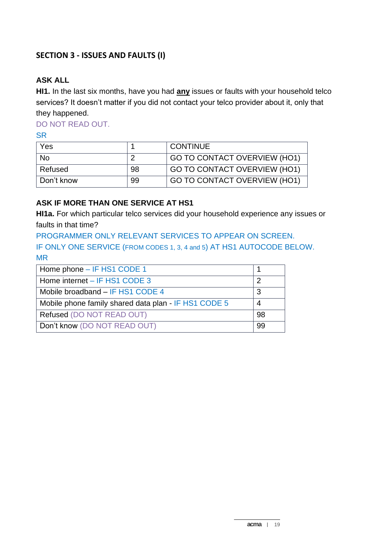## **SECTION 3 - ISSUES AND FAULTS (I)**

#### **ASK ALL**

**HI1.** In the last six months, have you had **any** issues or faults with your household telco services? It doesn't matter if you did not contact your telco provider about it, only that they happened.

DO NOT READ OUT.

**SR** 

| Yes        |    | <b>CONTINUE</b>              |
|------------|----|------------------------------|
| <b>No</b>  |    | GO TO CONTACT OVERVIEW (HO1) |
| Refused    | 98 | GO TO CONTACT OVERVIEW (HO1) |
| Don't know | 99 | GO TO CONTACT OVERVIEW (HO1) |

#### **ASK IF MORE THAN ONE SERVICE AT HS1**

**HI1a.** For which particular telco services did your household experience any issues or faults in that time?

PROGRAMMER ONLY RELEVANT SERVICES TO APPEAR ON SCREEN. IF ONLY ONE SERVICE (FROM CODES 1, 3, 4 and 5) AT HS1 AUTOCODE BELOW. MR

| Home phone - IF HS1 CODE 1                           |    |
|------------------------------------------------------|----|
| Home internet - IF HS1 CODE 3                        |    |
| Mobile broadband - IF HS1 CODE 4                     |    |
| Mobile phone family shared data plan - IF HS1 CODE 5 |    |
| Refused (DO NOT READ OUT)                            | 98 |
| Don't know (DO NOT READ OUT)                         | 99 |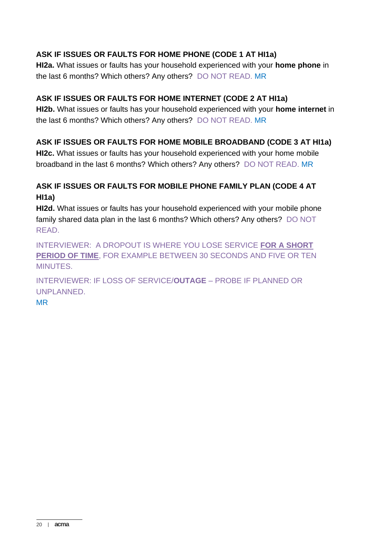## **ASK IF ISSUES OR FAULTS FOR HOME PHONE (CODE 1 AT HI1a)**

**HI2a.** What issues or faults has your household experienced with your **home phone** in the last 6 months? Which others? Any others?DO NOT READ. MR

#### **ASK IF ISSUES OR FAULTS FOR HOME INTERNET (CODE 2 AT HI1a)**

**HI2b.** What issues or faults has your household experienced with your **home internet** in the last 6 months? Which others? Any others?DO NOT READ. MR

## **ASK IF ISSUES OR FAULTS FOR HOME MOBILE BROADBAND (CODE 3 AT HI1a)**

**HI2c.** What issues or faults has your household experienced with your home mobile broadband in the last 6 months? Which others? Any others?DO NOT READ. MR

## **ASK IF ISSUES OR FAULTS FOR MOBILE PHONE FAMILY PLAN (CODE 4 AT HI1a)**

**HI2d.** What issues or faults has your household experienced with your mobile phone family shared data plan in the last 6 months? Which others? Any others?DO NOT READ.

INTERVIEWER: A DROPOUT IS WHERE YOU LOSE SERVICE **FOR A SHORT PERIOD OF TIME**, FOR EXAMPLE BETWEEN 30 SECONDS AND FIVE OR TEN MINUTES.

INTERVIEWER: IF LOSS OF SERVICE/**OUTAGE** – PROBE IF PLANNED OR UNPLANNED.

MR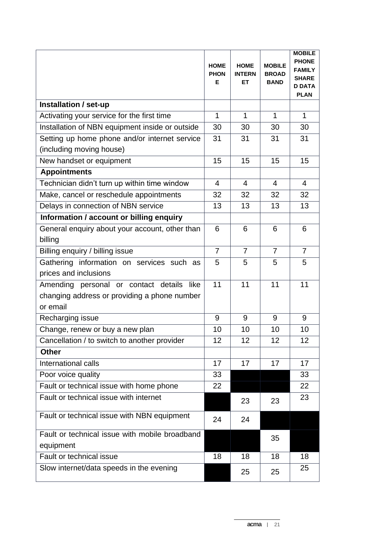|                                                 | <b>HOME</b><br><b>PHON</b><br>Е | <b>HOME</b><br><b>INTERN</b><br>ET | <b>MOBILE</b><br><b>BROAD</b><br><b>BAND</b> | <b>MOBILE</b><br><b>PHONE</b><br><b>FAMILY</b><br><b>SHARE</b><br><b>D DATA</b><br><b>PLAN</b> |
|-------------------------------------------------|---------------------------------|------------------------------------|----------------------------------------------|------------------------------------------------------------------------------------------------|
| Installation / set-up                           |                                 |                                    |                                              |                                                                                                |
| Activating your service for the first time      | $\mathbf{1}$                    | $\mathbf 1$                        | $\mathbf{1}$                                 | $\mathbf{1}$                                                                                   |
| Installation of NBN equipment inside or outside | 30                              | 30                                 | 30                                           | 30                                                                                             |
| Setting up home phone and/or internet service   | 31                              | 31                                 | 31                                           | 31                                                                                             |
| (including moving house)                        |                                 |                                    |                                              |                                                                                                |
| New handset or equipment                        | 15                              | 15                                 | 15                                           | 15                                                                                             |
| <b>Appointments</b>                             |                                 |                                    |                                              |                                                                                                |
| Technician didn't turn up within time window    | 4                               | 4                                  | 4                                            | $\overline{4}$                                                                                 |
| Make, cancel or reschedule appointments         | 32                              | 32                                 | 32                                           | 32                                                                                             |
| Delays in connection of NBN service             | 13                              | 13                                 | 13                                           | 13                                                                                             |
| Information / account or billing enquiry        |                                 |                                    |                                              |                                                                                                |
| General enquiry about your account, other than  | 6                               | 6                                  | 6                                            | 6                                                                                              |
| billing                                         |                                 |                                    |                                              |                                                                                                |
| Billing enquiry / billing issue                 | $\overline{7}$                  | $\overline{7}$                     | $\overline{7}$                               | $\overline{7}$                                                                                 |
| Gathering information on services such as       | 5                               | 5                                  | 5                                            | 5                                                                                              |
| prices and inclusions                           |                                 |                                    |                                              |                                                                                                |
| Amending personal or contact details<br>like    | 11                              | 11                                 | 11                                           | 11                                                                                             |
| changing address or providing a phone number    |                                 |                                    |                                              |                                                                                                |
| or email                                        |                                 |                                    |                                              |                                                                                                |
| Recharging issue                                | 9                               | 9                                  | 9                                            | 9                                                                                              |
| Change, renew or buy a new plan                 | 10                              | 10                                 | 10                                           | 10                                                                                             |
| Cancellation / to switch to another provider    | 12                              | 12                                 | 12                                           | 12                                                                                             |
| <b>Other</b>                                    |                                 |                                    |                                              |                                                                                                |
| International calls                             | 17                              | 17                                 | 17                                           | 17                                                                                             |
| Poor voice quality                              | 33                              |                                    |                                              | 33                                                                                             |
| Fault or technical issue with home phone        | 22                              |                                    |                                              | 22                                                                                             |
| Fault or technical issue with internet          |                                 | 23                                 | 23                                           | 23                                                                                             |
| Fault or technical issue with NBN equipment     | 24                              | 24                                 |                                              |                                                                                                |
| Fault or technical issue with mobile broadband  |                                 |                                    | 35                                           |                                                                                                |
| equipment                                       |                                 |                                    |                                              |                                                                                                |
| Fault or technical issue                        | 18                              | 18                                 | 18                                           | 18                                                                                             |
| Slow internet/data speeds in the evening        |                                 | 25                                 | 25                                           | 25                                                                                             |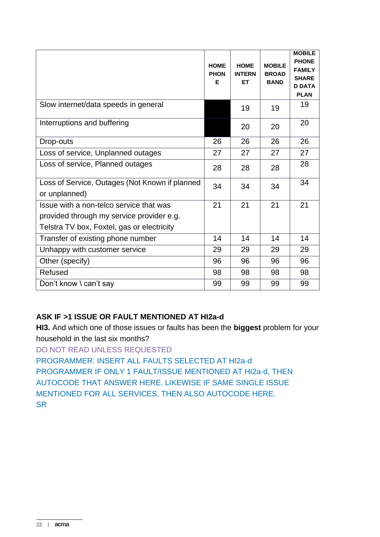|                                                                 | <b>HOME</b><br><b>PHON</b><br>Е | <b>HOME</b><br><b>INTERN</b><br>ET. | <b>MOBILE</b><br><b>BROAD</b><br><b>BAND</b> | <b>MOBILE</b><br><b>PHONE</b><br><b>FAMILY</b><br><b>SHARE</b><br><b>D DATA</b><br><b>PLAN</b> |
|-----------------------------------------------------------------|---------------------------------|-------------------------------------|----------------------------------------------|------------------------------------------------------------------------------------------------|
| Slow internet/data speeds in general                            |                                 | 19                                  | 19                                           | 19                                                                                             |
| Interruptions and buffering                                     |                                 | 20                                  | 20                                           | 20                                                                                             |
| Drop-outs                                                       | 26                              | 26                                  | 26                                           | 26                                                                                             |
| Loss of service, Unplanned outages                              | 27                              | 27                                  | 27                                           | 27                                                                                             |
| Loss of service, Planned outages                                | 28                              | 28                                  | 28                                           | 28                                                                                             |
| Loss of Service, Outages (Not Known if planned<br>or unplanned) | 34                              | 34                                  | 34                                           | 34                                                                                             |
| Issue with a non-telco service that was                         | 21                              | 21                                  | 21                                           | 21                                                                                             |
| provided through my service provider e.g.                       |                                 |                                     |                                              |                                                                                                |
| Telstra TV box, Foxtel, gas or electricity                      |                                 |                                     |                                              |                                                                                                |
| Transfer of existing phone number                               | 14                              | 14                                  | 14                                           | 14                                                                                             |
| Unhappy with customer service                                   | 29                              | 29                                  | 29                                           | 29                                                                                             |
| Other (specify)                                                 | 96                              | 96                                  | 96                                           | 96                                                                                             |
| Refused                                                         | 98                              | 98                                  | 98                                           | 98                                                                                             |
| Don't know \ can't say                                          | 99                              | 99                                  | 99                                           | 99                                                                                             |

# **ASK IF >1 ISSUE OR FAULT MENTIONED AT HI2a-d**

**HI3.** And which one of those issues or faults has been the **biggest** problem for your household in the last six months?

DO NOT READ UNLESS REQUESTED

PROGRAMMER: INSERT ALL FAULTS SELECTED AT HI2a-d PROGRAMMER IF ONLY 1 FAULT/ISSUE MENTIONED AT HI2a-d, THEN AUTOCODE THAT ANSWER HERE. LIKEWISE IF SAME SINGLE ISSUE MENTIONED FOR ALL SERVICES, THEN ALSO AUTOCODE HERE. **SR**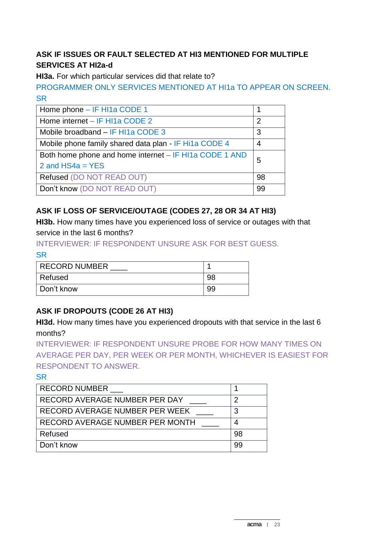# **ASK IF ISSUES OR FAULT SELECTED AT HI3 MENTIONED FOR MULTIPLE SERVICES AT HI2a-d**

**HI3a.** For which particular services did that relate to?

PROGRAMMER ONLY SERVICES MENTIONED AT HI1a TO APPEAR ON SCREEN. **SR** 

| Home phone - IF HI1a CODE 1                            |    |  |
|--------------------------------------------------------|----|--|
| Home internet - IF HI1a CODE 2                         | 2  |  |
| Mobile broadband - IF HI1a CODE 3                      | 3  |  |
| Mobile phone family shared data plan - IF Hi1a CODE 4  | 4  |  |
| Both home phone and home internet – IF HI1a CODE 1 AND |    |  |
| 2 and $HS4a = YES$                                     | 5  |  |
| Refused (DO NOT READ OUT)                              | 98 |  |
| Don't know (DO NOT READ OUT)                           | 99 |  |

# **ASK IF LOSS OF SERVICE/OUTAGE (CODES 27, 28 OR 34 AT HI3)**

**HI3b.** How many times have you experienced loss of service or outages with that service in the last 6 months?

INTERVIEWER: IF RESPONDENT UNSURE ASK FOR BEST GUESS. **SR** 

| <b>RECORD NUMBER</b> |    |
|----------------------|----|
| ∣ Refused            | 98 |
| Don't know           | 99 |

# **ASK IF DROPOUTS (CODE 26 AT HI3)**

**HI3d.** How many times have you experienced dropouts with that service in the last 6 months?

INTERVIEWER: IF RESPONDENT UNSURE PROBE FOR HOW MANY TIMES ON AVERAGE PER DAY, PER WEEK OR PER MONTH, WHICHEVER IS EASIEST FOR RESPONDENT TO ANSWER.

| <b>RECORD NUMBER</b>            |    |
|---------------------------------|----|
| RECORD AVERAGE NUMBER PER DAY   |    |
| RECORD AVERAGE NUMBER PER WEEK  |    |
| RECORD AVERAGE NUMBER PER MONTH |    |
| Refused                         | 98 |
| Don't know                      | 99 |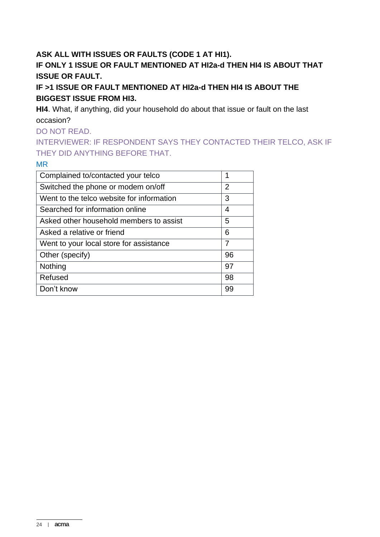## **ASK ALL WITH ISSUES OR FAULTS (CODE 1 AT HI1).**

## **IF ONLY 1 ISSUE OR FAULT MENTIONED AT HI2a-d THEN HI4 IS ABOUT THAT ISSUE OR FAULT.**

**IF >1 ISSUE OR FAULT MENTIONED AT HI2a-d THEN HI4 IS ABOUT THE BIGGEST ISSUE FROM HI3.** 

**HI4**. What, if anything, did your household do about that issue or fault on the last occasion?

DO NOT READ.

INTERVIEWER: IF RESPONDENT SAYS THEY CONTACTED THEIR TELCO, ASK IF THEY DID ANYTHING BEFORE THAT.

MR

| Complained to/contacted your telco        | 1              |
|-------------------------------------------|----------------|
| Switched the phone or modem on/off        | $\overline{2}$ |
| Went to the telco website for information | 3              |
| Searched for information online           | 4              |
| Asked other household members to assist   | 5              |
| Asked a relative or friend                | 6              |
| Went to your local store for assistance   | 7              |
| Other (specify)                           | 96             |
| Nothing                                   | 97             |
| Refused                                   | 98             |
| Don't know                                | 99             |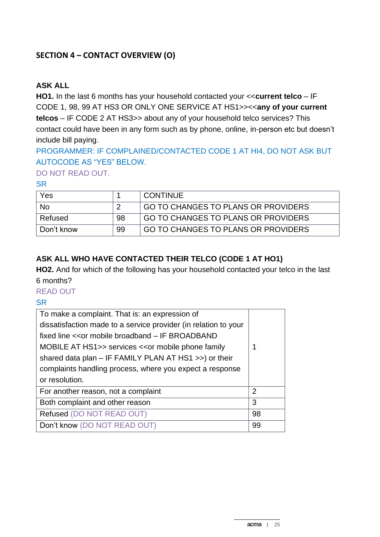## **SECTION 4 – CONTACT OVERVIEW (O)**

#### **ASK ALL**

**HO1.** In the last 6 months has your household contacted your <<**current telco** – IF CODE 1, 98, 99 AT HS3 OR ONLY ONE SERVICE AT HS1>><<**any of your current telcos** – IF CODE 2 AT HS3>> about any of your household telco services? This contact could have been in any form such as by phone, online, in-person etc but doesn't include bill paying.

PROGRAMMER: IF COMPLAINED/CONTACTED CODE 1 AT HI4, DO NOT ASK BUT AUTOCODE AS "YES" BELOW.

DO NOT READ OUT.

#### **SR**

| Yes        |    | <b>CONTINUE</b>                     |
|------------|----|-------------------------------------|
| <b>No</b>  |    | GO TO CHANGES TO PLANS OR PROVIDERS |
| Refused    | 98 | GO TO CHANGES TO PLANS OR PROVIDERS |
| Don't know | 99 | GO TO CHANGES TO PLANS OR PROVIDERS |

## **ASK ALL WHO HAVE CONTACTED THEIR TELCO (CODE 1 AT HO1)**

**HO2.** And for which of the following has your household contacted your telco in the last 6 months?

#### READ OUT

| To make a complaint. That is: an expression of                  |                |
|-----------------------------------------------------------------|----------------|
| dissatisfaction made to a service provider (in relation to your |                |
| fixed line << or mobile broadband - IF BROADBAND                |                |
| MOBILE AT HS1>> services << or mobile phone family              | 1              |
| shared data plan – IF FAMILY PLAN AT HS1 >>) or their           |                |
| complaints handling process, where you expect a response        |                |
| or resolution.                                                  |                |
| For another reason, not a complaint                             | $\overline{2}$ |
| Both complaint and other reason                                 | 3              |
| Refused (DO NOT READ OUT)                                       | 98             |
| Don't know (DO NOT READ OUT)                                    | 99             |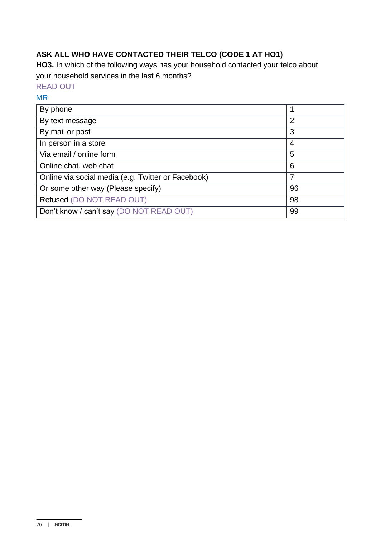# **ASK ALL WHO HAVE CONTACTED THEIR TELCO (CODE 1 AT HO1)**

**HO3.** In which of the following ways has your household contacted your telco about your household services in the last 6 months?

# READ OUT

#### MR

| By phone                                           | 1  |
|----------------------------------------------------|----|
| By text message                                    | 2  |
| By mail or post                                    | 3  |
| In person in a store                               | 4  |
| Via email / online form                            | 5  |
| Online chat, web chat                              | 6  |
| Online via social media (e.g. Twitter or Facebook) | 7  |
| Or some other way (Please specify)                 | 96 |
| Refused (DO NOT READ OUT)                          | 98 |
| Don't know / can't say (DO NOT READ OUT)           | 99 |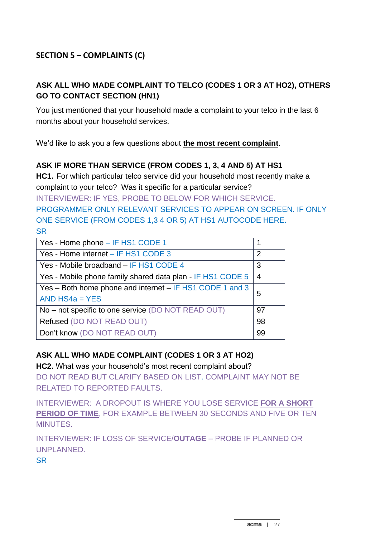## **ASK ALL WHO MADE COMPLAINT TO TELCO (CODES 1 OR 3 AT HO2), OTHERS GO TO CONTACT SECTION (HN1)**

You just mentioned that your household made a complaint to your telco in the last 6 months about your household services.

We'd like to ask you a few questions about **the most recent complaint**.

## **ASK IF MORE THAN SERVICE (FROM CODES 1, 3, 4 AND 5) AT HS1**

**HC1.** For which particular telco service did your household most recently make a complaint to your telco? Was it specific for a particular service?

INTERVIEWER: IF YES, PROBE TO BELOW FOR WHICH SERVICE.

PROGRAMMER ONLY RELEVANT SERVICES TO APPEAR ON SCREEN. IF ONLY ONE SERVICE (FROM CODES 1,3 4 OR 5) AT HS1 AUTOCODE HERE. **SR** 

| Yes - Home phone - IF HS1 CODE 1                           |                |
|------------------------------------------------------------|----------------|
| Yes - Home internet - IF HS1 CODE 3                        | 2              |
| Yes - Mobile broadband - IF HS1 CODE 4                     | 3              |
| Yes - Mobile phone family shared data plan - IF HS1 CODE 5 | $\overline{4}$ |
| Yes – Both home phone and internet – IF HS1 CODE 1 and 3   | 5              |
| AND $HS4a = YES$                                           |                |
| No – not specific to one service (DO NOT READ OUT)         | 97             |
| Refused (DO NOT READ OUT)                                  | 98             |
| Don't know (DO NOT READ OUT)                               | 99             |

# **ASK ALL WHO MADE COMPLAINT (CODES 1 OR 3 AT HO2)**

**HC2.** What was your household's most recent complaint about?

DO NOT READ BUT CLARIFY BASED ON LIST. COMPLAINT MAY NOT BE RELATED TO REPORTED FAULTS.

INTERVIEWER: A DROPOUT IS WHERE YOU LOSE SERVICE **FOR A SHORT PERIOD OF TIME**, FOR EXAMPLE BETWEEN 30 SECONDS AND FIVE OR TEN MINUTES.

INTERVIEWER: IF LOSS OF SERVICE/**OUTAGE** – PROBE IF PLANNED OR UNPLANNED.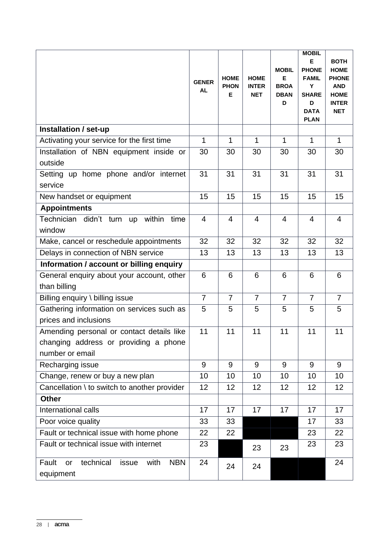|                                                                                                       | <b>GENER</b><br><b>AL</b> | <b>HOME</b><br><b>PHON</b><br>Е | <b>HOME</b><br><b>INTER</b><br><b>NET</b> | <b>MOBIL</b><br>E<br><b>BROA</b><br><b>DBAN</b><br>D | <b>MOBIL</b><br>Е<br><b>PHONE</b><br><b>FAMIL</b><br>Y<br><b>SHARE</b><br>D<br><b>DATA</b><br><b>PLAN</b> | <b>BOTH</b><br><b>HOME</b><br><b>PHONE</b><br><b>AND</b><br><b>HOME</b><br><b>INTER</b><br><b>NET</b> |
|-------------------------------------------------------------------------------------------------------|---------------------------|---------------------------------|-------------------------------------------|------------------------------------------------------|-----------------------------------------------------------------------------------------------------------|-------------------------------------------------------------------------------------------------------|
| Installation / set-up                                                                                 |                           |                                 |                                           |                                                      |                                                                                                           |                                                                                                       |
| Activating your service for the first time                                                            | 1                         | 1                               | $\mathbf 1$                               | $\mathbf{1}$                                         | 1                                                                                                         | $\mathbf{1}$                                                                                          |
| Installation of NBN equipment inside or<br>outside                                                    | 30                        | 30                              | 30                                        | 30                                                   | 30                                                                                                        | 30                                                                                                    |
| Setting up home phone and/or internet<br>service                                                      | 31                        | 31                              | 31                                        | 31                                                   | 31                                                                                                        | 31                                                                                                    |
| New handset or equipment                                                                              | 15                        | 15                              | 15                                        | 15                                                   | 15                                                                                                        | 15                                                                                                    |
| <b>Appointments</b>                                                                                   |                           |                                 |                                           |                                                      |                                                                                                           |                                                                                                       |
| Technician didn't turn up within<br>time<br>window                                                    | $\overline{4}$            | $\overline{4}$                  | $\overline{4}$                            | $\overline{4}$                                       | $\overline{4}$                                                                                            | $\overline{4}$                                                                                        |
| Make, cancel or reschedule appointments                                                               | 32                        | 32                              | 32                                        | 32                                                   | 32                                                                                                        | 32                                                                                                    |
| Delays in connection of NBN service                                                                   | 13                        | 13                              | 13                                        | 13                                                   | 13                                                                                                        | 13                                                                                                    |
| Information / account or billing enquiry                                                              |                           |                                 |                                           |                                                      |                                                                                                           |                                                                                                       |
| General enquiry about your account, other<br>than billing                                             | 6                         | 6                               | 6                                         | 6                                                    | 6                                                                                                         | 6                                                                                                     |
| Billing enquiry \ billing issue                                                                       | $\overline{7}$            | $\overline{7}$                  | $\overline{7}$                            | $\overline{7}$                                       | $\overline{7}$                                                                                            | $\overline{7}$                                                                                        |
| Gathering information on services such as<br>prices and inclusions                                    | 5                         | 5                               | 5                                         | 5                                                    | 5                                                                                                         | 5                                                                                                     |
| Amending personal or contact details like<br>changing address or providing a phone<br>number or email | 11                        | 11                              | 11                                        | 11                                                   | 11                                                                                                        | 11                                                                                                    |
| Recharging issue                                                                                      | 9                         | 9                               | 9                                         | 9                                                    | 9                                                                                                         | 9                                                                                                     |
| Change, renew or buy a new plan                                                                       | 10                        | 10                              | 10                                        | 10                                                   | 10                                                                                                        | 10                                                                                                    |
| Cancellation \ to switch to another provider                                                          | 12                        | 12                              | 12                                        | 12                                                   | 12                                                                                                        | 12                                                                                                    |
| <b>Other</b>                                                                                          |                           |                                 |                                           |                                                      |                                                                                                           |                                                                                                       |
| International calls                                                                                   | 17                        | 17                              | 17                                        | 17                                                   | 17                                                                                                        | 17                                                                                                    |
| Poor voice quality                                                                                    | 33                        | 33                              |                                           |                                                      | 17                                                                                                        | 33                                                                                                    |
| Fault or technical issue with home phone                                                              | 22                        | 22                              |                                           |                                                      | 23                                                                                                        | 22                                                                                                    |
| Fault or technical issue with internet                                                                | 23                        |                                 | 23                                        | 23                                                   | 23                                                                                                        | 23                                                                                                    |
| <b>NBN</b><br>Fault<br>technical<br>with<br>issue<br>or<br>equipment                                  | 24                        | 24                              | 24                                        |                                                      |                                                                                                           | 24                                                                                                    |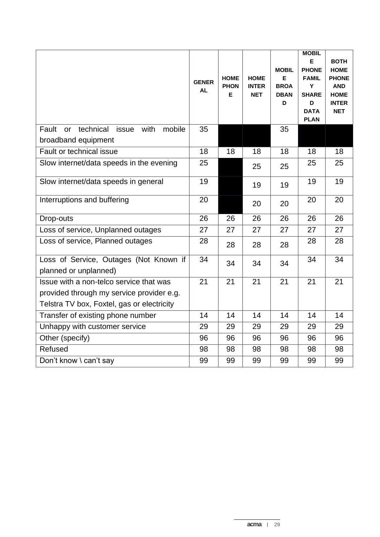|                                                                                                                                    | <b>GENER</b><br>AL | <b>HOME</b><br><b>PHON</b><br>E | <b>HOME</b><br><b>INTER</b><br><b>NET</b> | <b>MOBIL</b><br>Е<br><b>BROA</b><br><b>DBAN</b><br>D | <b>MOBIL</b><br>Е<br><b>PHONE</b><br><b>FAMIL</b><br>Y<br><b>SHARE</b><br>D<br><b>DATA</b><br><b>PLAN</b> | <b>BOTH</b><br><b>HOME</b><br><b>PHONE</b><br><b>AND</b><br><b>HOME</b><br><b>INTER</b><br><b>NET</b> |
|------------------------------------------------------------------------------------------------------------------------------------|--------------------|---------------------------------|-------------------------------------------|------------------------------------------------------|-----------------------------------------------------------------------------------------------------------|-------------------------------------------------------------------------------------------------------|
| technical<br>with<br>Fault<br>issue<br>mobile<br><b>or</b><br>broadband equipment                                                  | 35                 |                                 |                                           | 35                                                   |                                                                                                           |                                                                                                       |
| Fault or technical issue                                                                                                           | 18                 | 18                              | 18                                        | 18                                                   | 18                                                                                                        | 18                                                                                                    |
| Slow internet/data speeds in the evening                                                                                           | 25                 |                                 | 25                                        | 25                                                   | 25                                                                                                        | 25                                                                                                    |
| Slow internet/data speeds in general                                                                                               | 19                 |                                 | 19                                        | 19                                                   | 19                                                                                                        | 19                                                                                                    |
| Interruptions and buffering                                                                                                        | 20                 |                                 | 20                                        | 20                                                   | 20                                                                                                        | 20                                                                                                    |
| Drop-outs                                                                                                                          | 26                 | 26                              | 26                                        | 26                                                   | 26                                                                                                        | 26                                                                                                    |
| Loss of service, Unplanned outages                                                                                                 | 27                 | 27                              | 27                                        | 27                                                   | 27                                                                                                        | 27                                                                                                    |
| Loss of service, Planned outages                                                                                                   | 28                 | 28                              | 28                                        | 28                                                   | 28                                                                                                        | 28                                                                                                    |
| Loss of Service, Outages (Not Known if<br>planned or unplanned)                                                                    | 34                 | 34                              | 34                                        | 34                                                   | 34                                                                                                        | 34                                                                                                    |
| Issue with a non-telco service that was<br>provided through my service provider e.g.<br>Telstra TV box, Foxtel, gas or electricity | $\overline{21}$    | 21                              | 21                                        | 21                                                   | 21                                                                                                        | 21                                                                                                    |
| Transfer of existing phone number                                                                                                  | 14                 | 14                              | 14                                        | 14                                                   | 14                                                                                                        | 14                                                                                                    |
| Unhappy with customer service                                                                                                      | 29                 | 29                              | 29                                        | 29                                                   | 29                                                                                                        | 29                                                                                                    |
| Other (specify)                                                                                                                    | 96                 | 96                              | 96                                        | 96                                                   | 96                                                                                                        | 96                                                                                                    |
| Refused                                                                                                                            | 98                 | 98                              | 98                                        | 98                                                   | 98                                                                                                        | 98                                                                                                    |
| Don't know \ can't say                                                                                                             | 99                 | 99                              | 99                                        | 99                                                   | 99                                                                                                        | 99                                                                                                    |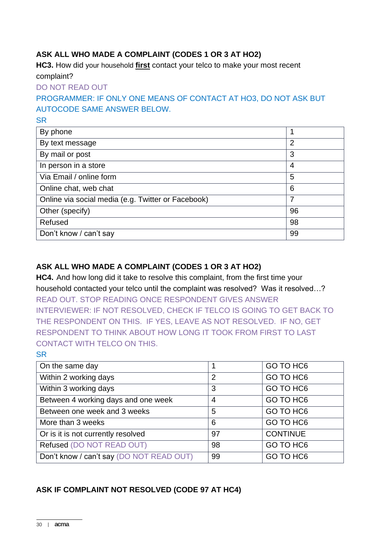## **ASK ALL WHO MADE A COMPLAINT (CODES 1 OR 3 AT HO2)**

**HC3.** How did your household **first** contact your telco to make your most recent complaint?

DO NOT READ OUT

PROGRAMMER: IF ONLY ONE MEANS OF CONTACT AT HO3, DO NOT ASK BUT AUTOCODE SAME ANSWER BELOW.

SR

| By phone                                           |                |
|----------------------------------------------------|----------------|
| By text message                                    | $\overline{2}$ |
| By mail or post                                    | 3              |
| In person in a store                               | 4              |
| Via Email / online form                            | 5              |
| Online chat, web chat                              | 6              |
| Online via social media (e.g. Twitter or Facebook) | 7              |
| Other (specify)                                    | 96             |
| Refused                                            | 98             |
| Don't know / can't say                             | 99             |

## **ASK ALL WHO MADE A COMPLAINT (CODES 1 OR 3 AT HO2)**

**HC4.** And how long did it take to resolve this complaint, from the first time your household contacted your telco until the complaint was resolved? Was it resolved…? READ OUT. STOP READING ONCE RESPONDENT GIVES ANSWER INTERVIEWER: IF NOT RESOLVED, CHECK IF TELCO IS GOING TO GET BACK TO THE RESPONDENT ON THIS. IF YES, LEAVE AS NOT RESOLVED. IF NO, GET RESPONDENT TO THINK ABOUT HOW LONG IT TOOK FROM FIRST TO LAST CONTACT WITH TELCO ON THIS.

| UUNTAUT WITH TELUU UN THIS.              |                |                       |
|------------------------------------------|----------------|-----------------------|
| <b>SR</b>                                |                |                       |
| On the same day                          | 1              | GO TO HC <sub>6</sub> |
| Within 2 working days                    | $\overline{2}$ | GO TO HC <sub>6</sub> |
| Within 3 working days                    | 3              | GO TO HC <sub>6</sub> |
| Between 4 working days and one week      | 4              | GO TO HC <sub>6</sub> |
| Between one week and 3 weeks             | 5              | GO TO HC <sub>6</sub> |
| More than 3 weeks                        | 6              | GO TO HC <sub>6</sub> |
| Or is it is not currently resolved       | 97             | <b>CONTINUE</b>       |
| Refused (DO NOT READ OUT)                | 98             | GO TO HC <sub>6</sub> |
| Don't know / can't say (DO NOT READ OUT) | 99             | GO TO HC <sub>6</sub> |

# **ASK IF COMPLAINT NOT RESOLVED (CODE 97 AT HC4)**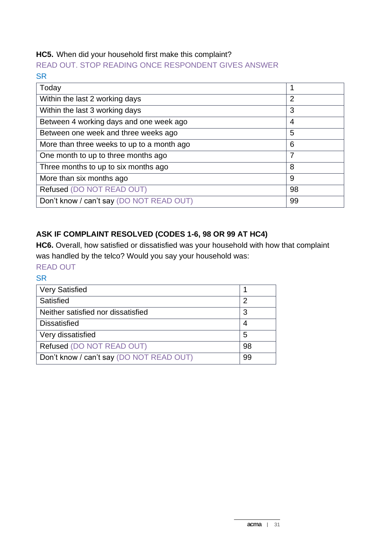## **HC5.** When did your household first make this complaint?

READ OUT. STOP READING ONCE RESPONDENT GIVES ANSWER **SR** 

| Today                                      |                |
|--------------------------------------------|----------------|
| Within the last 2 working days             | $\overline{2}$ |
| Within the last 3 working days             | 3              |
| Between 4 working days and one week ago    | 4              |
| Between one week and three weeks ago       | 5              |
| More than three weeks to up to a month ago | 6              |
| One month to up to three months ago        | 7              |
| Three months to up to six months ago       | 8              |
| More than six months ago                   | 9              |
| Refused (DO NOT READ OUT)                  | 98             |
| Don't know / can't say (DO NOT READ OUT)   | 99             |

## **ASK IF COMPLAINT RESOLVED (CODES 1-6, 98 OR 99 AT HC4)**

**HC6.** Overall, how satisfied or dissatisfied was your household with how that complaint was handled by the telco? Would you say your household was:

# READ OUT

| <b>Very Satisfied</b>                    |    |
|------------------------------------------|----|
| Satisfied                                | 2  |
| Neither satisfied nor dissatisfied       | 3  |
| <b>Dissatisfied</b>                      |    |
| Very dissatisfied                        | 5  |
| Refused (DO NOT READ OUT)                | 98 |
| Don't know / can't say (DO NOT READ OUT) | 99 |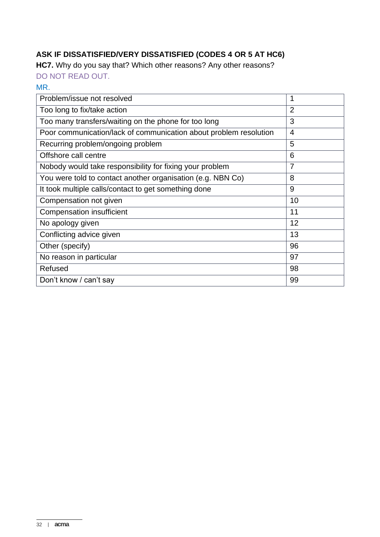# **ASK IF DISSATISFIED/VERY DISSATISFIED (CODES 4 OR 5 AT HC6)**

**HC7.** Why do you say that? Which other reasons? Any other reasons?

DO NOT READ OUT.

#### MR.

| Problem/issue not resolved                                        | 1              |
|-------------------------------------------------------------------|----------------|
| Too long to fix/take action                                       | $\overline{2}$ |
| Too many transfers/waiting on the phone for too long              | 3              |
| Poor communication/lack of communication about problem resolution | $\overline{4}$ |
| Recurring problem/ongoing problem                                 | 5              |
| Offshore call centre                                              | 6              |
| Nobody would take responsibility for fixing your problem          | $\overline{7}$ |
| You were told to contact another organisation (e.g. NBN Co)       | 8              |
| It took multiple calls/contact to get something done              | 9              |
| Compensation not given                                            | 10             |
| Compensation insufficient                                         | 11             |
| No apology given                                                  | 12             |
| Conflicting advice given                                          | 13             |
| Other (specify)                                                   | 96             |
| No reason in particular                                           | 97             |
| Refused                                                           | 98             |
| Don't know / can't say                                            | 99             |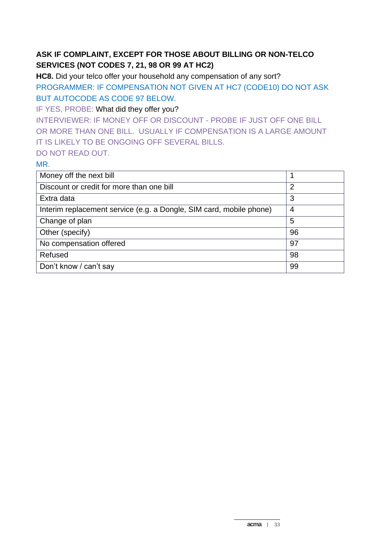# **ASK IF COMPLAINT, EXCEPT FOR THOSE ABOUT BILLING OR NON-TELCO SERVICES (NOT CODES 7, 21, 98 OR 99 AT HC2)**

**HC8.** Did your telco offer your household any compensation of any sort? PROGRAMMER: IF COMPENSATION NOT GIVEN AT HC7 (CODE10) DO NOT ASK BUT AUTOCODE AS CODE 97 BELOW.

IF YES, PROBE: What did they offer you?

INTERVIEWER: IF MONEY OFF OR DISCOUNT - PROBE IF JUST OFF ONE BILL OR MORE THAN ONE BILL. USUALLY IF COMPENSATION IS A LARGE AMOUNT IT IS LIKELY TO BE ONGOING OFF SEVERAL BILLS.

#### DO NOT READ OUT.

MR.

| Money off the next bill                                             | 1              |
|---------------------------------------------------------------------|----------------|
| Discount or credit for more than one bill                           | $\overline{2}$ |
| Extra data                                                          | 3              |
| Interim replacement service (e.g. a Dongle, SIM card, mobile phone) | 4              |
| Change of plan                                                      | 5              |
| Other (specify)                                                     | 96             |
| No compensation offered                                             | 97             |
| Refused                                                             | 98             |
| Don't know / can't say                                              | 99             |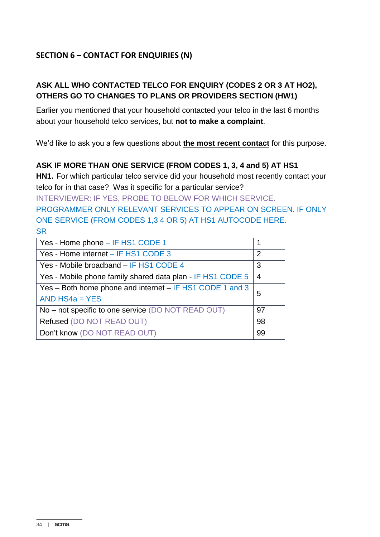# **SECTION 6 – CONTACT FOR ENQUIRIES (N)**

### **ASK ALL WHO CONTACTED TELCO FOR ENQUIRY (CODES 2 OR 3 AT HO2), OTHERS GO TO CHANGES TO PLANS OR PROVIDERS SECTION (HW1)**

Earlier you mentioned that your household contacted your telco in the last 6 months about your household telco services, but **not to make a complaint**.

We'd like to ask you a few questions about **the most recent contact** for this purpose.

#### **ASK IF MORE THAN ONE SERVICE (FROM CODES 1, 3, 4 and 5) AT HS1**

**HN1.** For which particular telco service did your household most recently contact your telco for in that case? Was it specific for a particular service?

INTERVIEWER: IF YES, PROBE TO BELOW FOR WHICH SERVICE.

PROGRAMMER ONLY RELEVANT SERVICES TO APPEAR ON SCREEN. IF ONLY ONE SERVICE (FROM CODES 1,3 4 OR 5) AT HS1 AUTOCODE HERE. **SR** 

| Yes - Home phone - IF HS1 CODE 1                           |    |  |  |
|------------------------------------------------------------|----|--|--|
| Yes - Home internet - IF HS1 CODE 3                        | 2  |  |  |
| Yes - Mobile broadband - IF HS1 CODE 4                     | 3  |  |  |
| Yes - Mobile phone family shared data plan - IF HS1 CODE 5 | 4  |  |  |
| Yes – Both home phone and internet – IF HS1 CODE 1 and 3   |    |  |  |
| AND $HS4a = YES$                                           |    |  |  |
| No - not specific to one service (DO NOT READ OUT)         | 97 |  |  |
| Refused (DO NOT READ OUT)                                  | 98 |  |  |
| Don't know (DO NOT READ OUT)                               | 99 |  |  |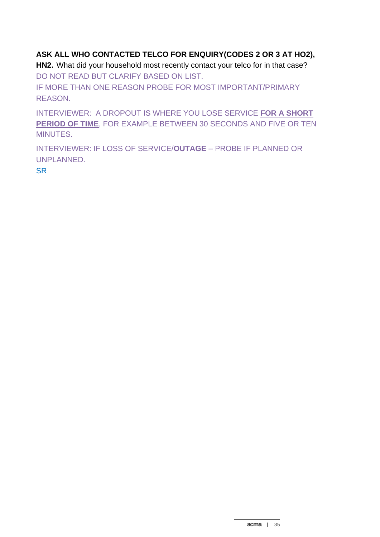## **ASK ALL WHO CONTACTED TELCO FOR ENQUIRY(CODES 2 OR 3 AT HO2),**

**HN2.** What did your household most recently contact your telco for in that case? DO NOT READ BUT CLARIFY BASED ON LIST.

IF MORE THAN ONE REASON PROBE FOR MOST IMPORTANT/PRIMARY REASON.

INTERVIEWER: A DROPOUT IS WHERE YOU LOSE SERVICE **FOR A SHORT PERIOD OF TIME**, FOR EXAMPLE BETWEEN 30 SECONDS AND FIVE OR TEN MINUTES.

INTERVIEWER: IF LOSS OF SERVICE/**OUTAGE** – PROBE IF PLANNED OR UNPLANNED.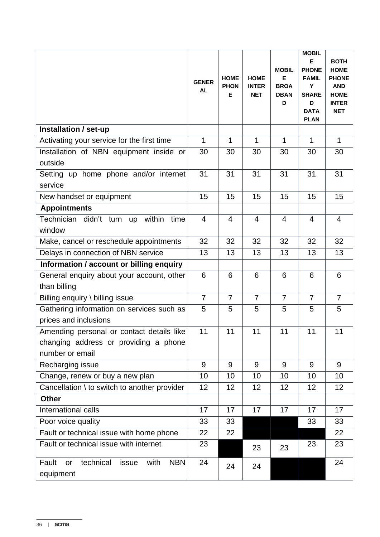|                                                                                                       | <b>GENER</b><br><b>AL</b> | <b>HOME</b><br><b>PHON</b><br>Е | <b>HOME</b><br><b>INTER</b><br><b>NET</b> | <b>MOBIL</b><br>Е<br><b>BROA</b><br><b>DBAN</b><br>D | <b>MOBIL</b><br>E<br><b>PHONE</b><br><b>FAMIL</b><br>Y<br><b>SHARE</b><br>D<br><b>DATA</b><br><b>PLAN</b> | <b>BOTH</b><br><b>HOME</b><br><b>PHONE</b><br><b>AND</b><br><b>HOME</b><br><b>INTER</b><br><b>NET</b> |
|-------------------------------------------------------------------------------------------------------|---------------------------|---------------------------------|-------------------------------------------|------------------------------------------------------|-----------------------------------------------------------------------------------------------------------|-------------------------------------------------------------------------------------------------------|
| Installation / set-up                                                                                 |                           |                                 |                                           |                                                      |                                                                                                           |                                                                                                       |
| Activating your service for the first time                                                            | 1                         | $\mathbf 1$                     | $\mathbf{1}$                              | $\mathbf{1}$                                         | 1                                                                                                         | $\mathbf{1}$                                                                                          |
| Installation of NBN equipment inside or<br>outside                                                    | 30                        | 30                              | 30                                        | 30                                                   | 30                                                                                                        | 30                                                                                                    |
| Setting up home phone and/or internet<br>service                                                      | 31                        | 31                              | 31                                        | 31                                                   | 31                                                                                                        | 31                                                                                                    |
| New handset or equipment                                                                              | 15                        | 15                              | 15                                        | 15                                                   | 15                                                                                                        | 15                                                                                                    |
| <b>Appointments</b>                                                                                   |                           |                                 |                                           |                                                      |                                                                                                           |                                                                                                       |
| Technician didn't turn up within<br>time<br>window                                                    | $\overline{4}$            | $\overline{4}$                  | 4                                         | $\overline{4}$                                       | $\overline{4}$                                                                                            | $\overline{4}$                                                                                        |
| Make, cancel or reschedule appointments                                                               | 32                        | 32                              | 32                                        | 32                                                   | 32                                                                                                        | 32                                                                                                    |
| Delays in connection of NBN service                                                                   | 13                        | 13                              | 13                                        | 13                                                   | 13                                                                                                        | 13                                                                                                    |
| Information / account or billing enquiry                                                              |                           |                                 |                                           |                                                      |                                                                                                           |                                                                                                       |
| General enquiry about your account, other<br>than billing                                             | 6                         | 6                               | 6                                         | 6                                                    | $6\phantom{1}6$                                                                                           | 6                                                                                                     |
| Billing enquiry \ billing issue                                                                       | $\overline{7}$            | $\overline{7}$                  | $\overline{7}$                            | $\overline{7}$                                       | $\overline{7}$                                                                                            | $\overline{7}$                                                                                        |
| Gathering information on services such as<br>prices and inclusions                                    | 5                         | 5                               | 5                                         | 5                                                    | 5                                                                                                         | 5                                                                                                     |
| Amending personal or contact details like<br>changing address or providing a phone<br>number or email | 11                        | 11                              | 11                                        | 11                                                   | 11                                                                                                        | 11                                                                                                    |
| Recharging issue                                                                                      | 9                         | 9                               | 9                                         | 9                                                    | 9                                                                                                         | 9                                                                                                     |
| Change, renew or buy a new plan                                                                       | 10                        | 10                              | 10                                        | 10                                                   | 10                                                                                                        | 10                                                                                                    |
| Cancellation \ to switch to another provider                                                          | 12                        | 12                              | 12                                        | 12                                                   | 12                                                                                                        | 12                                                                                                    |
| <b>Other</b>                                                                                          |                           |                                 |                                           |                                                      |                                                                                                           |                                                                                                       |
| International calls                                                                                   | 17                        | 17                              | 17                                        | 17                                                   | 17                                                                                                        | 17                                                                                                    |
| Poor voice quality                                                                                    | 33                        | 33                              |                                           |                                                      | 33                                                                                                        | 33                                                                                                    |
| Fault or technical issue with home phone                                                              | 22                        | 22                              |                                           |                                                      |                                                                                                           | 22                                                                                                    |
| Fault or technical issue with internet                                                                | 23                        |                                 | 23                                        | 23                                                   | 23                                                                                                        | 23                                                                                                    |
| <b>NBN</b><br>Fault<br>technical<br>with<br>issue<br>or<br>equipment                                  | 24                        | 24                              | 24                                        |                                                      |                                                                                                           | 24                                                                                                    |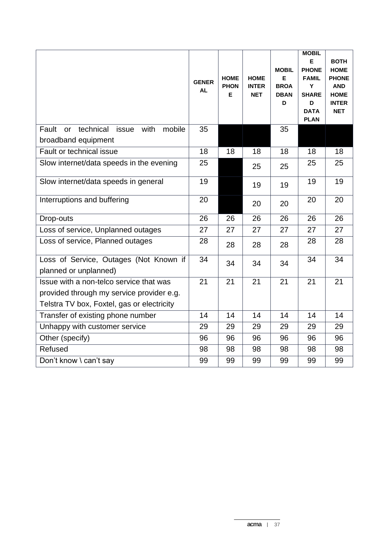|                                                                                                                                    | <b>GENER</b><br>AL | <b>HOME</b><br><b>PHON</b><br>Е | <b>HOME</b><br><b>INTER</b><br><b>NET</b> | <b>MOBIL</b><br>Е<br><b>BROA</b><br><b>DBAN</b><br>D | <b>MOBIL</b><br>Е<br><b>PHONE</b><br><b>FAMIL</b><br>Y<br><b>SHARE</b><br>D<br><b>DATA</b><br><b>PLAN</b> | <b>BOTH</b><br><b>HOME</b><br><b>PHONE</b><br><b>AND</b><br><b>HOME</b><br><b>INTER</b><br><b>NET</b> |
|------------------------------------------------------------------------------------------------------------------------------------|--------------------|---------------------------------|-------------------------------------------|------------------------------------------------------|-----------------------------------------------------------------------------------------------------------|-------------------------------------------------------------------------------------------------------|
| technical<br>issue<br>with<br>mobile<br>Fault<br><b>or</b><br>broadband equipment                                                  | 35                 |                                 |                                           | 35                                                   |                                                                                                           |                                                                                                       |
| Fault or technical issue                                                                                                           | 18                 | 18                              | 18                                        | 18                                                   | 18                                                                                                        | 18                                                                                                    |
| Slow internet/data speeds in the evening                                                                                           | 25                 |                                 | 25                                        | 25                                                   | 25                                                                                                        | 25                                                                                                    |
| Slow internet/data speeds in general                                                                                               | 19                 |                                 | 19                                        | 19                                                   | 19                                                                                                        | 19                                                                                                    |
| Interruptions and buffering                                                                                                        | 20                 |                                 | 20                                        | 20                                                   | 20                                                                                                        | 20                                                                                                    |
| Drop-outs                                                                                                                          | 26                 | 26                              | 26                                        | 26                                                   | 26                                                                                                        | 26                                                                                                    |
| Loss of service, Unplanned outages                                                                                                 | 27                 | 27                              | 27                                        | 27                                                   | 27                                                                                                        | 27                                                                                                    |
| Loss of service, Planned outages                                                                                                   | 28                 | 28                              | 28                                        | 28                                                   | 28                                                                                                        | 28                                                                                                    |
| Loss of Service, Outages (Not Known if<br>planned or unplanned)                                                                    | 34                 | 34                              | 34                                        | 34                                                   | 34                                                                                                        | 34                                                                                                    |
| Issue with a non-telco service that was<br>provided through my service provider e.g.<br>Telstra TV box, Foxtel, gas or electricity | 21                 | 21                              | 21                                        | 21                                                   | 21                                                                                                        | 21                                                                                                    |
| Transfer of existing phone number                                                                                                  | 14                 | 14                              | 14                                        | 14                                                   | 14                                                                                                        | 14                                                                                                    |
| Unhappy with customer service                                                                                                      | 29                 | 29                              | 29                                        | 29                                                   | 29                                                                                                        | 29                                                                                                    |
| Other (specify)                                                                                                                    | 96                 | 96                              | 96                                        | 96                                                   | 96                                                                                                        | 96                                                                                                    |
| Refused                                                                                                                            | 98                 | 98                              | 98                                        | 98                                                   | 98                                                                                                        | 98                                                                                                    |
| Don't know \ can't say                                                                                                             | 99                 | 99                              | 99                                        | 99                                                   | 99                                                                                                        | 99                                                                                                    |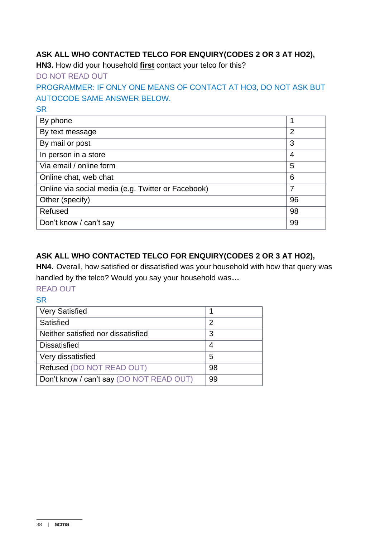## **ASK ALL WHO CONTACTED TELCO FOR ENQUIRY(CODES 2 OR 3 AT HO2),**

**HN3.** How did your household **first** contact your telco for this?

DO NOT READ OUT

## PROGRAMMER: IF ONLY ONE MEANS OF CONTACT AT HO3, DO NOT ASK BUT AUTOCODE SAME ANSWER BELOW.

**SR** 

| By phone                                           |                |
|----------------------------------------------------|----------------|
| By text message                                    | $\overline{2}$ |
| By mail or post                                    | 3              |
| In person in a store                               | 4              |
| Via email / online form                            | 5              |
| Online chat, web chat                              | 6              |
| Online via social media (e.g. Twitter or Facebook) | 7              |
| Other (specify)                                    | 96             |
| Refused                                            | 98             |
| Don't know / can't say                             | 99             |

## **ASK ALL WHO CONTACTED TELCO FOR ENQUIRY(CODES 2 OR 3 AT HO2),**

**HN4.** Overall, how satisfied or dissatisfied was your household with how that query was handled by the telco? Would you say your household was*…*

- READ OUT
- **SR**

| <b>Very Satisfied</b>                    |    |
|------------------------------------------|----|
| Satisfied                                | 2  |
| Neither satisfied nor dissatisfied       | 3  |
| <b>Dissatisfied</b>                      |    |
| Very dissatisfied                        | 5  |
| Refused (DO NOT READ OUT)                | 98 |
| Don't know / can't say (DO NOT READ OUT) | 99 |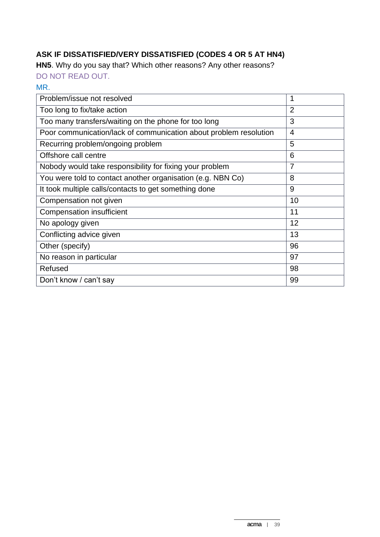# **ASK IF DISSATISFIED/VERY DISSATISFIED (CODES 4 OR 5 AT HN4)**

**HN5**. Why do you say that? Which other reasons? Any other reasons?

DO NOT READ OUT.

#### MR.

| Problem/issue not resolved                                        | 1              |
|-------------------------------------------------------------------|----------------|
| Too long to fix/take action                                       | $\overline{2}$ |
| Too many transfers/waiting on the phone for too long              | 3              |
| Poor communication/lack of communication about problem resolution | $\overline{4}$ |
| Recurring problem/ongoing problem                                 | 5              |
| Offshore call centre                                              | 6              |
| Nobody would take responsibility for fixing your problem          | $\overline{7}$ |
| You were told to contact another organisation (e.g. NBN Co)       | 8              |
| It took multiple calls/contacts to get something done             | 9              |
| Compensation not given                                            | 10             |
| <b>Compensation insufficient</b>                                  | 11             |
| No apology given                                                  | 12             |
| Conflicting advice given                                          | 13             |
| Other (specify)                                                   | 96             |
| No reason in particular                                           | 97             |
| Refused                                                           | 98             |
| Don't know / can't say                                            | 99             |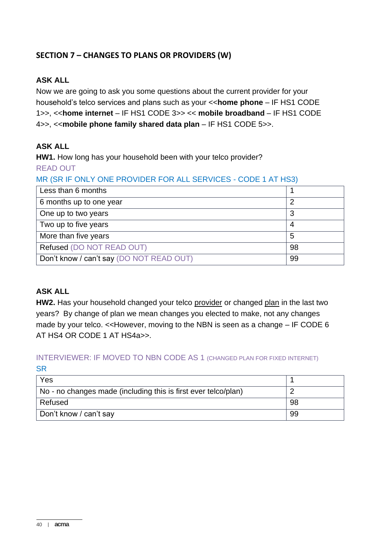## **SECTION 7 – CHANGES TO PLANS OR PROVIDERS (W)**

#### **ASK ALL**

Now we are going to ask you some questions about the current provider for your household's telco services and plans such as your <<**home phone** – IF HS1 CODE 1>>, <<**home internet** – IF HS1 CODE 3>> << **mobile broadband** – IF HS1 CODE 4>>, <<**mobile phone family shared data plan** – IF HS1 CODE 5>>.

#### **ASK ALL**

**HW1.** How long has your household been with your telco provider? READ OUT

## MR (SR IF ONLY ONE PROVIDER FOR ALL SERVICES - CODE 1 AT HS3)

| Less than 6 months                       |    |
|------------------------------------------|----|
| 6 months up to one year                  |    |
| One up to two years                      | 3  |
| Two up to five years                     |    |
| More than five years                     | 5  |
| Refused (DO NOT READ OUT)                | 98 |
| Don't know / can't say (DO NOT READ OUT) | 99 |

## **ASK ALL**

**HW2.** Has your household changed your telco provider or changed plan in the last two years? By change of plan we mean changes you elected to make, not any changes made by your telco. <<However, moving to the NBN is seen as a change – IF CODE 6 AT HS4 OR CODE 1 AT HS4a>>.

#### INTERVIEWER: IF MOVED TO NBN CODE AS 1 (CHANGED PLAN FOR FIXED INTERNET) **SR**

| Yes                                                            |    |
|----------------------------------------------------------------|----|
| No - no changes made (including this is first ever telco/plan) |    |
| Refused                                                        | 98 |
| Don't know / can't say                                         | 99 |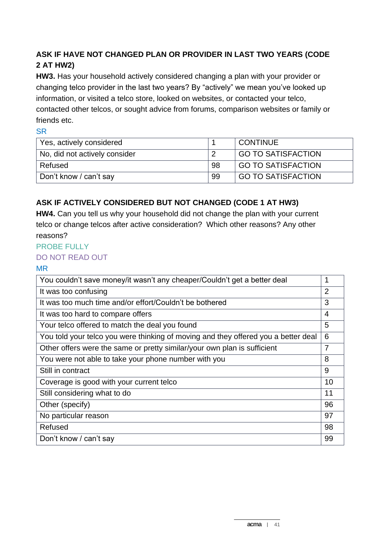# **ASK IF HAVE NOT CHANGED PLAN OR PROVIDER IN LAST TWO YEARS (CODE 2 AT HW2)**

**HW3.** Has your household actively considered changing a plan with your provider or changing telco provider in the last two years? By "actively" we mean you've looked up information, or visited a telco store, looked on websites, or contacted your telco, contacted other telcos, or sought advice from forums, comparison websites or family or friends etc.

SR

| Yes, actively considered      |    | <b>CONTINUE</b>           |
|-------------------------------|----|---------------------------|
| No, did not actively consider |    | GO TO SATISFACTION        |
| Refused                       | 98 | <b>GO TO SATISFACTION</b> |
| Don't know / can't say        | 99 | <b>GO TO SATISFACTION</b> |

# **ASK IF ACTIVELY CONSIDERED BUT NOT CHANGED (CODE 1 AT HW3)**

**HW4.** Can you tell us why your household did not change the plan with your current telco or change telcos after active consideration? Which other reasons? Any other reasons?

#### PROBE FULLY

#### DO NOT READ OUT

MR

| You couldn't save money/it wasn't any cheaper/Couldn't get a better deal           | 1              |
|------------------------------------------------------------------------------------|----------------|
| It was too confusing                                                               | $\overline{2}$ |
| It was too much time and/or effort/Couldn't be bothered                            | 3              |
| It was too hard to compare offers                                                  | 4              |
| Your telco offered to match the deal you found                                     | 5              |
| You told your telco you were thinking of moving and they offered you a better deal | 6              |
| Other offers were the same or pretty similar/your own plan is sufficient           | $\overline{7}$ |
| You were not able to take your phone number with you                               | 8              |
| Still in contract                                                                  | 9              |
| Coverage is good with your current telco                                           | 10             |
| Still considering what to do                                                       | 11             |
| Other (specify)                                                                    | 96             |
| No particular reason                                                               | 97             |
| Refused                                                                            | 98             |
| Don't know / can't say                                                             | 99             |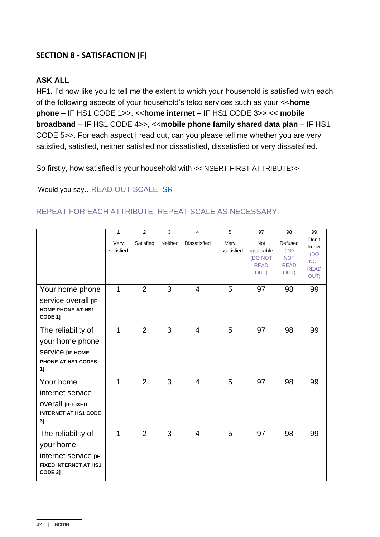## **SECTION 8 - SATISFACTION (F)**

#### **ASK ALL**

**HF1.** I'd now like you to tell me the extent to which your household is satisfied with each of the following aspects of your household's telco services such as your <<**home phone** – IF HS1 CODE 1>>, <<**home internet** – IF HS1 CODE 3>> << **mobile broadband** – IF HS1 CODE 4>>, <<**mobile phone family shared data plan** – IF HS1 CODE 5>>. For each aspect I read out, can you please tell me whether you are very satisfied, satisfied, neither satisfied nor dissatisfied, dissatisfied or very dissatisfied.

So firstly, how satisfied is your household with <<INSERT FIRST ATTRIBUTE>>.

Would you say…READ OUT SCALE. SR

#### REPEAT FOR EACH ATTRIBUTE. REPEAT SCALE AS NECESSARY.

|                                                                                                    | $\mathbf{1}$<br>Very<br>satisfied | $\overline{2}$<br>Satisfied | 3<br>Neither | 4<br><b>Dissatisfied</b> | 5<br>Very<br>dissatisfied | 97<br><b>Not</b><br>applicable<br>(DO NOT<br><b>READ</b><br>OUT) | 98<br>Refused<br>(DO)<br><b>NOT</b><br><b>READ</b><br>OUT) | 99<br>Don't<br>know<br>(DO<br><b>NOT</b><br><b>READ</b><br>OUT) |
|----------------------------------------------------------------------------------------------------|-----------------------------------|-----------------------------|--------------|--------------------------|---------------------------|------------------------------------------------------------------|------------------------------------------------------------|-----------------------------------------------------------------|
| Your home phone<br>Service overall [IF<br><b>HOME PHONE AT HS1</b><br>CODE 1]                      | 1                                 | $\overline{2}$              | 3            | $\overline{4}$           | 5                         | 97                                                               | 98                                                         | 99                                                              |
| The reliability of<br>your home phone<br>Service [IF HOME<br>PHONE AT HS1 CODES<br>1]              | 1                                 | $\overline{2}$              | 3            | $\overline{4}$           | 5                         | 97                                                               | 98                                                         | 99                                                              |
| Your home<br>internet service<br><b>OVETAIL [IF FIXED</b><br><b>INTERNET AT HS1 CODE</b><br>3]     | $\mathbf{1}$                      | 2                           | 3            | $\overline{4}$           | 5                         | 97                                                               | 98                                                         | 99                                                              |
| The reliability of<br>your home<br>internet service [IF<br><b>FIXED INTERNET AT HS1</b><br>CODE 3] | 1                                 | $\overline{2}$              | 3            | 4                        | 5                         | 97                                                               | 98                                                         | 99                                                              |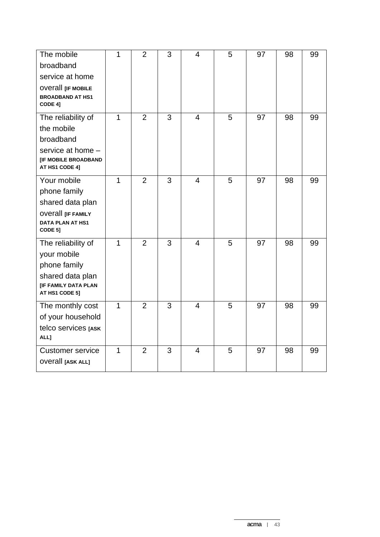| The mobile                                                  | 1              | $\overline{2}$ | 3 | $\overline{4}$          | 5 | 97 | 98 | 99 |
|-------------------------------------------------------------|----------------|----------------|---|-------------------------|---|----|----|----|
| broadband                                                   |                |                |   |                         |   |    |    |    |
| service at home                                             |                |                |   |                         |   |    |    |    |
| <b>OVETAIL LIF MOBILE</b><br><b>BROADBAND AT HS1</b>        |                |                |   |                         |   |    |    |    |
| CODE 4]                                                     |                |                |   |                         |   |    |    |    |
| The reliability of                                          | 1              | $\overline{2}$ | 3 | $\overline{\mathbf{4}}$ | 5 | 97 | 98 | 99 |
| the mobile                                                  |                |                |   |                         |   |    |    |    |
| broadband                                                   |                |                |   |                         |   |    |    |    |
| service at home -<br>[IF MOBILE BROADBAND<br>AT HS1 CODE 4] |                |                |   |                         |   |    |    |    |
| Your mobile                                                 | $\mathbf{1}$   | $\overline{2}$ | 3 | $\overline{4}$          | 5 | 97 | 98 | 99 |
| phone family                                                |                |                |   |                         |   |    |    |    |
| shared data plan                                            |                |                |   |                         |   |    |    |    |
| <b>OVETALL [IF FAMILY</b>                                   |                |                |   |                         |   |    |    |    |
| <b>DATA PLAN AT HS1</b><br>CODE 5]                          |                |                |   |                         |   |    |    |    |
| The reliability of                                          | $\overline{1}$ | $\overline{2}$ | 3 | $\overline{4}$          | 5 | 97 | 98 | 99 |
| your mobile                                                 |                |                |   |                         |   |    |    |    |
| phone family                                                |                |                |   |                         |   |    |    |    |
| shared data plan                                            |                |                |   |                         |   |    |    |    |
| <b>[IF FAMILY DATA PLAN</b><br>AT HS1 CODE 5]               |                |                |   |                         |   |    |    |    |
| The monthly cost                                            | $\overline{1}$ | $\overline{2}$ | 3 | $\overline{4}$          | 5 | 97 | 98 | 99 |
| of your household                                           |                |                |   |                         |   |    |    |    |
| telco services [ASK                                         |                |                |   |                         |   |    |    |    |
| ALL]                                                        |                |                |   |                         |   |    |    |    |
| <b>Customer service</b>                                     | $\mathbf{1}$   | $\overline{2}$ | 3 | $\overline{4}$          | 5 | 97 | 98 | 99 |
| <b>OVETAII</b> [ASK ALL]                                    |                |                |   |                         |   |    |    |    |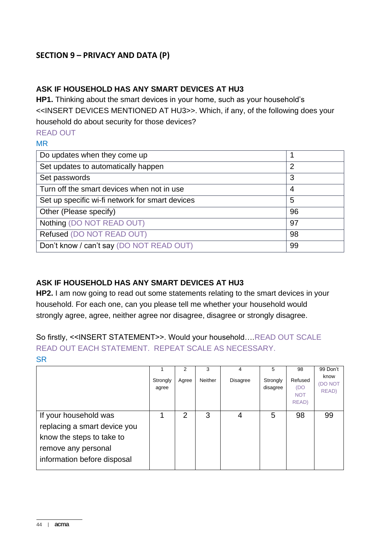## **SECTION 9 – PRIVACY AND DATA (P)**

## **ASK IF HOUSEHOLD HAS ANY SMART DEVICES AT HU3**

**HP1.** Thinking about the smart devices in your home, such as your household's <<INSERT DEVICES MENTIONED AT HU3>>. Which, if any, of the following does your household do about security for those devices?

#### READ OUT

#### MR

| Do updates when they come up                    |                |
|-------------------------------------------------|----------------|
| Set updates to automatically happen             | $\overline{2}$ |
| Set passwords                                   | 3              |
| Turn off the smart devices when not in use      | 4              |
| Set up specific wi-fi network for smart devices | 5              |
| Other (Please specify)                          | 96             |
| Nothing (DO NOT READ OUT)                       | 97             |
| Refused (DO NOT READ OUT)                       | 98             |
| Don't know / can't say (DO NOT READ OUT)        | 99             |

## **ASK IF HOUSEHOLD HAS ANY SMART DEVICES AT HU3**

**HP2.** I am now going to read out some statements relating to the smart devices in your household. For each one, can you please tell me whether your household would strongly agree, agree, neither agree nor disagree, disagree or strongly disagree.

## So firstly, <<INSERT STATEMENT>>. Would your household….READ OUT SCALE READ OUT EACH STATEMENT. REPEAT SCALE AS NECESSARY. **SR**

|                                                                                                           |                   | 2     | 3       | 4               | 5                    | 98                                            | 99 Don't                 |
|-----------------------------------------------------------------------------------------------------------|-------------------|-------|---------|-----------------|----------------------|-----------------------------------------------|--------------------------|
|                                                                                                           | Strongly<br>agree | Agree | Neither | <b>Disagree</b> | Strongly<br>disagree | Refused<br>(DO<br><b>NOT</b><br><b>READ</b> ) | know<br>(DO NOT<br>READ) |
| If your household was<br>replacing a smart device you<br>know the steps to take to<br>remove any personal |                   | 2     | 3       | 4               | 5                    | 98                                            | 99                       |
| information before disposal                                                                               |                   |       |         |                 |                      |                                               |                          |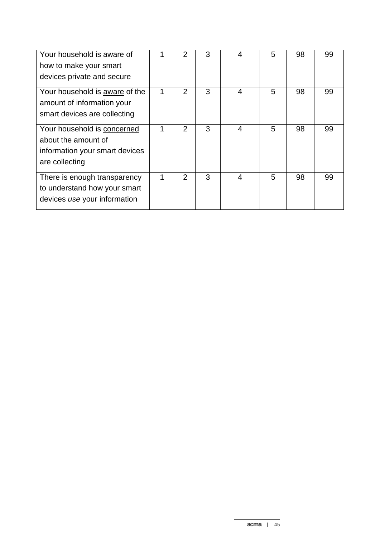| Your household is aware of<br>how to make your smart<br>devices private and secure                     |   | 2              | 3 | 4              | 5 | 98 | 99 |
|--------------------------------------------------------------------------------------------------------|---|----------------|---|----------------|---|----|----|
| Your household is <b>aware</b> of the<br>amount of information your<br>smart devices are collecting    | 1 | $\overline{2}$ | 3 | $\overline{4}$ | 5 | 98 | 99 |
| Your household is concerned<br>about the amount of<br>information your smart devices<br>are collecting | 1 | 2              | 3 | 4              | 5 | 98 | 99 |
| There is enough transparency<br>to understand how your smart<br>devices use your information           | 1 | $\overline{2}$ | 3 | 4              | 5 | 98 | 99 |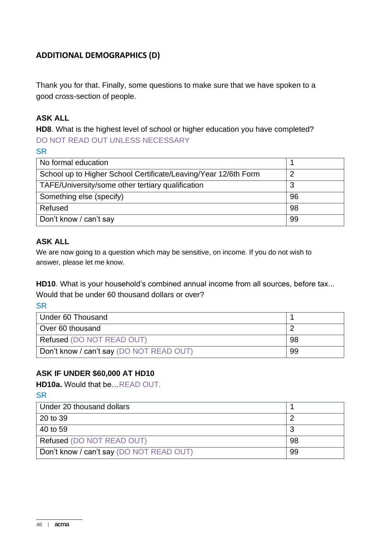## **ADDITIONAL DEMOGRAPHICS (D)**

Thank you for that. Finally, some questions to make sure that we have spoken to a good cross-section of people.

### **ASK ALL**

**HD8**. What is the highest level of school or higher education you have completed? DO NOT READ OUT UNLESS NECESSARY

**SR** 

| No formal education                                             |    |
|-----------------------------------------------------------------|----|
| School up to Higher School Certificate/Leaving/Year 12/6th Form | 2  |
| TAFE/University/some other tertiary qualification               | 3  |
| Something else (specify)                                        | 96 |
| Refused                                                         | 98 |
| Don't know / can't say                                          | 99 |

## **ASK ALL**

We are now going to a question which may be sensitive, on income. If you do not wish to answer, please let me know.

**HD10**. What is your household's combined annual income from all sources, before tax... Would that be under 60 thousand dollars or over?

**SR** 

| Under 60 Thousand                        |    |
|------------------------------------------|----|
| Over 60 thousand                         |    |
| <b>Refused (DO NOT READ OUT)</b>         | 98 |
| Don't know / can't say (DO NOT READ OUT) | 99 |

#### **ASK IF UNDER \$60,000 AT HD10**

**HD10a.** Would that be…READ OUT.

| Under 20 thousand dollars                |    |
|------------------------------------------|----|
| 20 to 39                                 |    |
| 40 to 59                                 |    |
| Refused (DO NOT READ OUT)                | 98 |
| Don't know / can't say (DO NOT READ OUT) | 99 |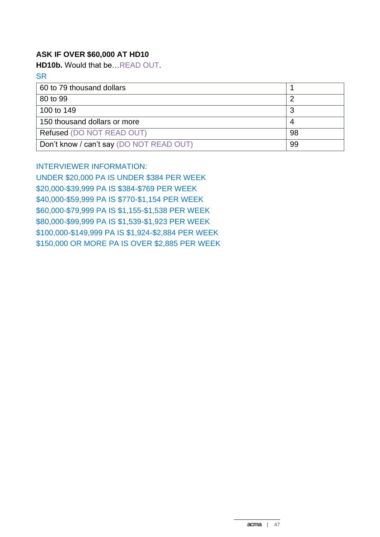#### **ASK IF OVER \$60,000 AT HD10**

**HD10b.** Would that be…READ OUT.

**SR** 

| 60 to 79 thousand dollars                |    |
|------------------------------------------|----|
| 80 to 99                                 |    |
| 100 to 149                               |    |
| 150 thousand dollars or more             |    |
| Refused (DO NOT READ OUT)                | 98 |
| Don't know / can't say (DO NOT READ OUT) | 99 |

#### INTERVIEWER INFORMATION:

UNDER \$20,000 PA IS UNDER \$384 PER WEEK \$20,000-\$39,999 PA IS \$384-\$769 PER WEEK \$40,000-\$59,999 PA IS \$770-\$1,154 PER WEEK \$60,000-\$79,999 PA IS \$1,155-\$1,538 PER WEEK \$80,000-\$99,999 PA IS \$1,539-\$1,923 PER WEEK \$100,000-\$149,999 PA IS \$1,924-\$2,884 PER WEEK \$150,000 OR MORE PA IS OVER \$2,885 PER WEEK